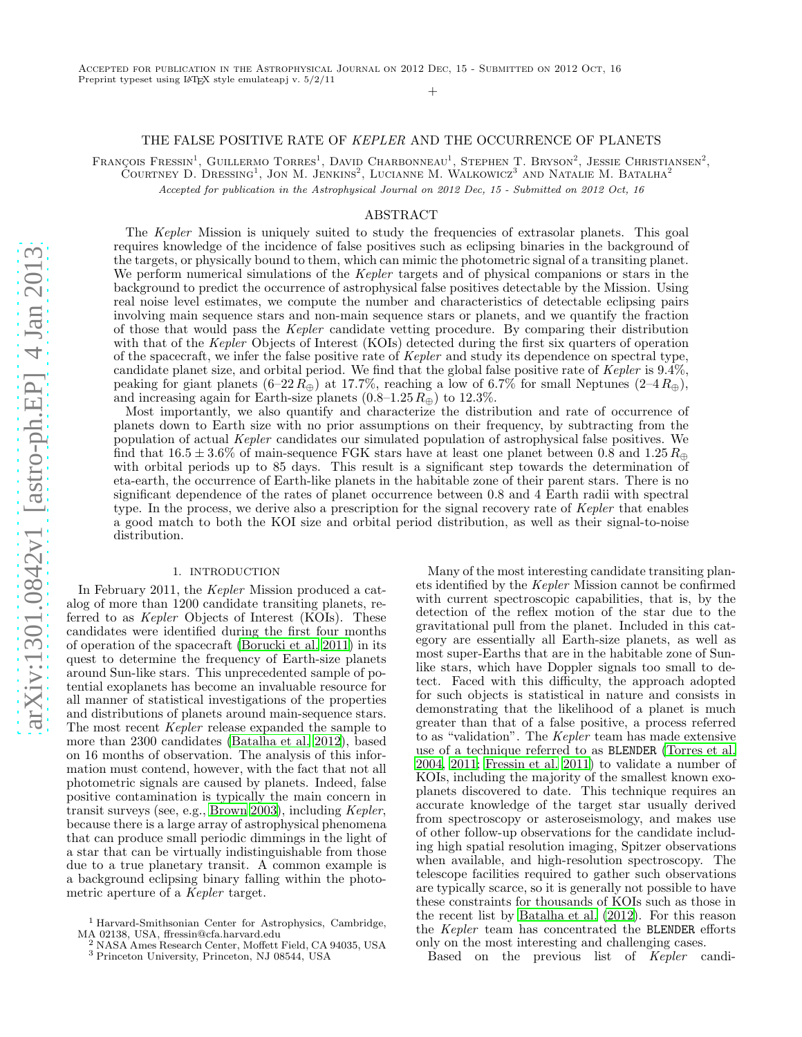#### +

### THE FALSE POSITIVE RATE OF KEPLER AND THE OCCURRENCE OF PLANETS

François Fressin<sup>1</sup>, Guillermo Torres<sup>1</sup>, David Charbonneau<sup>1</sup>, Stephen T. Bryson<sup>2</sup>, Jessie Christiansen<sup>2</sup>,

 $\tilde{\rm C}$ ourtney D. Dressing<sup>1</sup>, Jon M. Jenkins<sup>2</sup>, Lucianne M. Walkowicz<sup>3</sup> and Natalie M. Batalha<sup>2</sup>

Accepted for publication in the Astrophysical Journal on 2012 Dec, 15 - Submitted on 2012 Oct, 16

### ABSTRACT

The Kepler Mission is uniquely suited to study the frequencies of extrasolar planets. This goal requires knowledge of the incidence of false positives such as eclipsing binaries in the background of the targets, or physically bound to them, which can mimic the photometric signal of a transiting planet. We perform numerical simulations of the *Kepler* targets and of physical companions or stars in the background to predict the occurrence of astrophysical false positives detectable by the Mission. Using real noise level estimates, we compute the number and characteristics of detectable eclipsing pairs involving main sequence stars and non-main sequence stars or planets, and we quantify the fraction of those that would pass the Kepler candidate vetting procedure. By comparing their distribution with that of the Kepler Objects of Interest (KOIs) detected during the first six quarters of operation of the spacecraft, we infer the false positive rate of Kepler and study its dependence on spectral type, candidate planet size, and orbital period. We find that the global false positive rate of Kepler is 9.4%, peaking for giant planets  $(6-22R_\oplus)$  at 17.7%, reaching a low of 6.7% for small Neptunes  $(2-4R_\oplus)$ , and increasing again for Earth-size planets  $(0.8-1.25 R_{\oplus})$  to 12.3%.

Most importantly, we also quantify and characterize the distribution and rate of occurrence of planets down to Earth size with no prior assumptions on their frequency, by subtracting from the population of actual Kepler candidates our simulated population of astrophysical false positives. We find that  $16.5 \pm 3.6\%$  of main-sequence FGK stars have at least one planet between 0.8 and  $1.25 R_{\oplus}$ with orbital periods up to 85 days. This result is a significant step towards the determination of eta-earth, the occurrence of Earth-like planets in the habitable zone of their parent stars. There is no significant dependence of the rates of planet occurrence between 0.8 and 4 Earth radii with spectral type. In the process, we derive also a prescription for the signal recovery rate of Kepler that enables a good match to both the KOI size and orbital period distribution, as well as their signal-to-noise distribution.

### 1. INTRODUCTION

<span id="page-0-0"></span>In February 2011, the Kepler Mission produced a catalog of more than 1200 candidate transiting planets, referred to as *Kepler* Objects of Interest (KOIs). These candidates were identified during the first four months of operation of the spacecraft [\(Borucki et al. 2011\)](#page-17-0) in its quest to determine the frequency of Earth-size planets around Sun-like stars. This unprecedented sample of potential exoplanets has become an invaluable resource for all manner of statistical investigations of the properties and distributions of planets around main-sequence stars. The most recent Kepler release expanded the sample to more than 2300 candidates [\(Batalha et al. 2012](#page-17-1)), based on 16 months of observation. The analysis of this information must contend, however, with the fact that not all photometric signals are caused by planets. Indeed, false positive contamination is typically the main concern in transit surveys (see, e.g., [Brown 2003\)](#page-17-2), including Kepler, because there is a large array of astrophysical phenomena that can produce small periodic dimmings in the light of a star that can be virtually indistinguishable from those due to a true planetary transit. A common example is a background eclipsing binary falling within the photometric aperture of a Kepler target.

Many of the most interesting candidate transiting planets identified by the Kepler Mission cannot be confirmed with current spectroscopic capabilities, that is, by the detection of the reflex motion of the star due to the gravitational pull from the planet. Included in this category are essentially all Earth-size planets, as well as most super-Earths that are in the habitable zone of Sunlike stars, which have Doppler signals too small to detect. Faced with this difficulty, the approach adopted for such objects is statistical in nature and consists in demonstrating that the likelihood of a planet is much greater than that of a false positive, a process referred to as "validation". The Kepler team has made extensive use of a technique referred to as BLENDER [\(Torres et al.](#page-18-0) [2004,](#page-18-0) [2011](#page-18-1); [Fressin et al. 2011\)](#page-18-2) to validate a number of KOIs, including the majority of the smallest known exoplanets discovered to date. This technique requires an accurate knowledge of the target star usually derived from spectroscopy or asteroseismology, and makes use of other follow-up observations for the candidate including high spatial resolution imaging, Spitzer observations when available, and high-resolution spectroscopy. The telescope facilities required to gather such observations are typically scarce, so it is generally not possible to have these constraints for thousands of KOIs such as those in the recent list by [Batalha et al. \(2012\)](#page-17-1). For this reason the Kepler team has concentrated the BLENDER efforts only on the most interesting and challenging cases.

Based on the previous list of Kepler candi-

<sup>1</sup> Harvard-Smithsonian Center for Astrophysics, Cambridge, MA 02138, USA, ffressin@cfa.harvard.edu<br>
<sup>2</sup> NASA Americans Later Lateral

<sup>2</sup> NASA Ames Research Center, Moffett Field, CA 94035, USA

<sup>3</sup> Princeton University, Princeton, NJ 08544, USA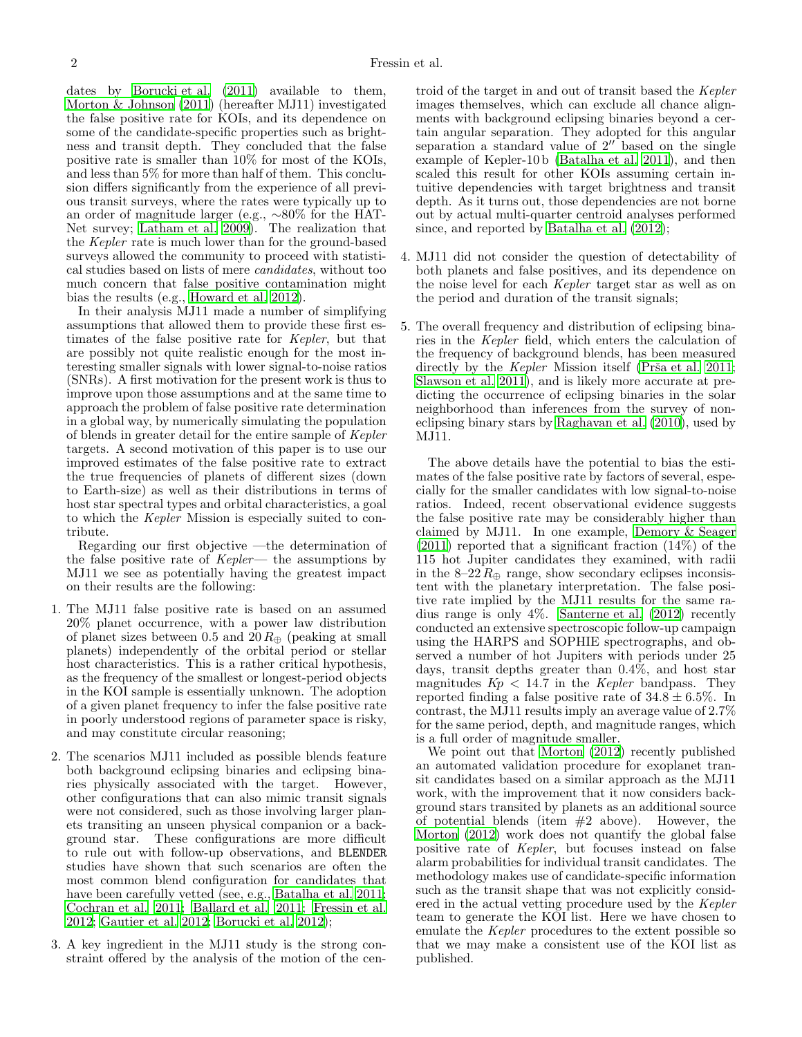dates by [Borucki et al. \(2011\)](#page-17-0) available to them, [Morton & Johnson \(2011\)](#page-18-3) (hereafter MJ11) investigated the false positive rate for KOIs, and its dependence on some of the candidate-specific properties such as brightness and transit depth. They concluded that the false positive rate is smaller than 10% for most of the KOIs, and less than 5% for more than half of them. This conclusion differs significantly from the experience of all previous transit surveys, where the rates were typically up to an order of magnitude larger (e.g., ∼80% for the HAT-Net survey; [Latham et al. 2009\)](#page-18-4). The realization that the Kepler rate is much lower than for the ground-based surveys allowed the community to proceed with statistical studies based on lists of mere candidates, without too much concern that false positive contamination might bias the results (e.g., [Howard et al. 2012\)](#page-18-5).

In their analysis MJ11 made a number of simplifying assumptions that allowed them to provide these first estimates of the false positive rate for Kepler, but that are possibly not quite realistic enough for the most interesting smaller signals with lower signal-to-noise ratios (SNRs). A first motivation for the present work is thus to improve upon those assumptions and at the same time to approach the problem of false positive rate determination in a global way, by numerically simulating the population of blends in greater detail for the entire sample of Kepler targets. A second motivation of this paper is to use our improved estimates of the false positive rate to extract the true frequencies of planets of different sizes (down to Earth-size) as well as their distributions in terms of host star spectral types and orbital characteristics, a goal to which the Kepler Mission is especially suited to contribute.

Regarding our first objective —the determination of the false positive rate of  $Kepler$ — the assumptions by MJ11 we see as potentially having the greatest impact on their results are the following:

- 1. The MJ11 false positive rate is based on an assumed 20% planet occurrence, with a power law distribution of planet sizes between 0.5 and  $20 R_{\oplus}$  (peaking at small planets) independently of the orbital period or stellar host characteristics. This is a rather critical hypothesis, as the frequency of the smallest or longest-period objects in the KOI sample is essentially unknown. The adoption of a given planet frequency to infer the false positive rate in poorly understood regions of parameter space is risky, and may constitute circular reasoning;
- 2. The scenarios MJ11 included as possible blends feature both background eclipsing binaries and eclipsing binaries physically associated with the target. However, other configurations that can also mimic transit signals were not considered, such as those involving larger planets transiting an unseen physical companion or a background star. These configurations are more difficult to rule out with follow-up observations, and BLENDER studies have shown that such scenarios are often the most common blend configuration for candidates that have been carefully vetted (see, e.g., [Batalha et al. 2011;](#page-17-3) [Cochran et al. 2011;](#page-17-4) [Ballard et al. 2011;](#page-17-5) [Fressin et al.](#page-18-6) [2012;](#page-18-6) [Gautier et al. 2012;](#page-18-7) [Borucki et al. 2012](#page-17-6));
- 3. A key ingredient in the MJ11 study is the strong constraint offered by the analysis of the motion of the cen-

troid of the target in and out of transit based the Kepler images themselves, which can exclude all chance alignments with background eclipsing binaries beyond a certain angular separation. They adopted for this angular separation a standard value of  $2^{\prime\prime}$  based on the single example of Kepler-10 b [\(Batalha et al. 2011](#page-17-3)), and then scaled this result for other KOIs assuming certain intuitive dependencies with target brightness and transit depth. As it turns out, those dependencies are not borne out by actual multi-quarter centroid analyses performed since, and reported by [Batalha et al. \(2012\)](#page-17-1);

- 4. MJ11 did not consider the question of detectability of both planets and false positives, and its dependence on the noise level for each Kepler target star as well as on the period and duration of the transit signals;
- 5. The overall frequency and distribution of eclipsing binaries in the Kepler field, which enters the calculation of the frequency of background blends, has been measured directly by the *Kepler* Mission itself (Prša et al. 2011; [Slawson et al. 2011](#page-18-9)), and is likely more accurate at predicting the occurrence of eclipsing binaries in the solar neighborhood than inferences from the survey of noneclipsing binary stars by [Raghavan et al. \(2010\)](#page-18-10), used by MJ11.

The above details have the potential to bias the estimates of the false positive rate by factors of several, especially for the smaller candidates with low signal-to-noise ratios. Indeed, recent observational evidence suggests the false positive rate may be considerably higher than claimed by MJ11. In one example, [Demory & Seager](#page-17-7)  $(2011)$  reported that a significant fraction  $(14\%)$  of the 115 hot Jupiter candidates they examined, with radii in the  $8-22R_{\oplus}$  range, show secondary eclipses inconsistent with the planetary interpretation. The false positive rate implied by the MJ11 results for the same radius range is only 4%. [Santerne et al. \(2012](#page-18-11)) recently conducted an extensive spectroscopic follow-up campaign using the HARPS and SOPHIE spectrographs, and observed a number of hot Jupiters with periods under 25 days, transit depths greater than 0.4%, and host star magnitudes  $Kp < 14.7$  in the *Kepler* bandpass. They reported finding a false positive rate of  $34.8 \pm 6.5\%$ . In contrast, the MJ11 results imply an average value of 2.7% for the same period, depth, and magnitude ranges, which is a full order of magnitude smaller.

We point out that [Morton \(2012\)](#page-18-12) recently published an automated validation procedure for exoplanet transit candidates based on a similar approach as the MJ11 work, with the improvement that it now considers background stars transited by planets as an additional source of potential blends (item  $#2$  above). However, the [Morton \(2012](#page-18-12)) work does not quantify the global false positive rate of Kepler, but focuses instead on false alarm probabilities for individual transit candidates. The methodology makes use of candidate-specific information such as the transit shape that was not explicitly considered in the actual vetting procedure used by the Kepler team to generate the KOI list. Here we have chosen to emulate the Kepler procedures to the extent possible so that we may make a consistent use of the KOI list as published.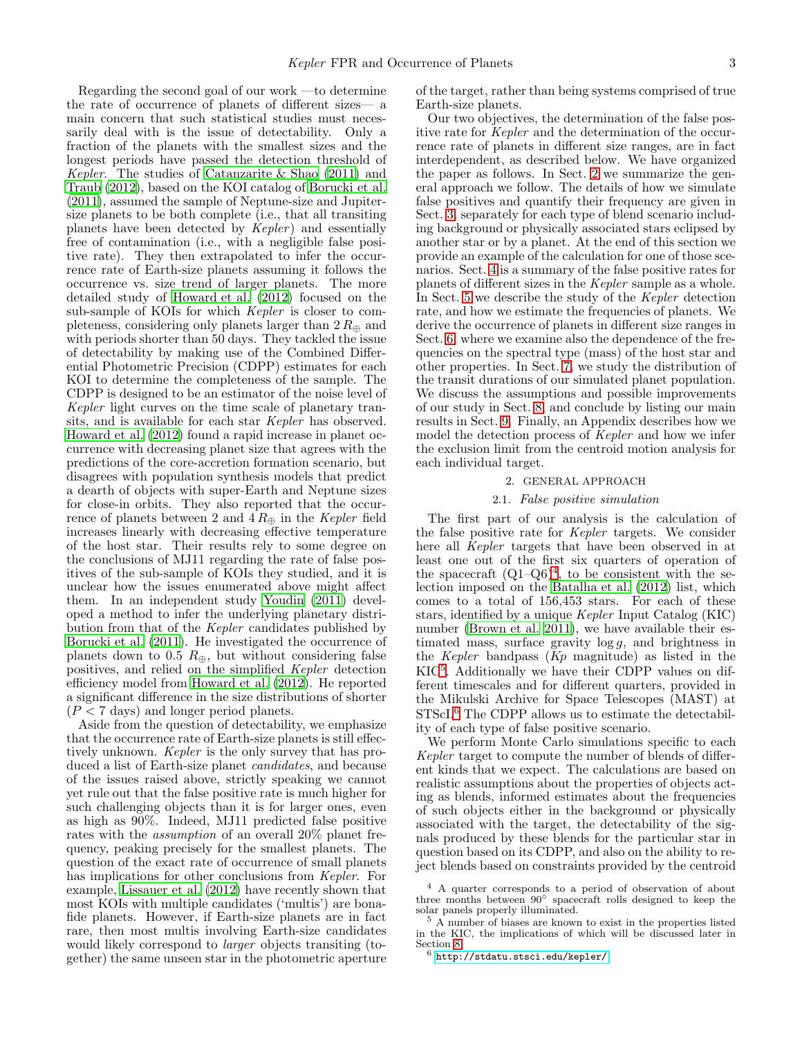Regarding the second goal of our work —to determine the rate of occurrence of planets of different sizes— a main concern that such statistical studies must necessarily deal with is the issue of detectability. Only a fraction of the planets with the smallest sizes and the longest periods have passed the detection threshold of Kepler. The studies of [Catanzarite & Shao \(2011\)](#page-17-8) and [Traub \(2012\)](#page-18-13), based on the KOI catalog of [Borucki et al.](#page-17-0) [\(2011\)](#page-17-0), assumed the sample of Neptune-size and Jupitersize planets to be both complete (i.e., that all transiting planets have been detected by  $Kepler$ ) and essentially free of contamination (i.e., with a negligible false positive rate). They then extrapolated to infer the occurrence rate of Earth-size planets assuming it follows the occurrence vs. size trend of larger planets. The more detailed study of [Howard et al. \(2012\)](#page-18-5) focused on the sub-sample of KOIs for which *Kepler* is closer to completeness, considering only planets larger than  $2 R_{\oplus}$  and with periods shorter than 50 days. They tackled the issue of detectability by making use of the Combined Differential Photometric Precision (CDPP) estimates for each KOI to determine the completeness of the sample. The CDPP is designed to be an estimator of the noise level of Kepler light curves on the time scale of planetary transits, and is available for each star Kepler has observed. [Howard et al. \(2012\)](#page-18-5) found a rapid increase in planet occurrence with decreasing planet size that agrees with the predictions of the core-accretion formation scenario, but disagrees with population synthesis models that predict a dearth of objects with super-Earth and Neptune sizes for close-in orbits. They also reported that the occurrence of planets between 2 and  $4 R_{\oplus}$  in the Kepler field increases linearly with decreasing effective temperature of the host star. Their results rely to some degree on the conclusions of MJ11 regarding the rate of false positives of the sub-sample of KOIs they studied, and it is unclear how the issues enumerated above might affect them. In an independent study [Youdin \(2011\)](#page-18-14) developed a method to infer the underlying planetary distribution from that of the Kepler candidates published by [Borucki et al. \(2011](#page-17-0)). He investigated the occurrence of planets down to 0.5  $R_{\oplus}$ , but without considering false positives, and relied on the simplified Kepler detection efficiency model from [Howard et al. \(2012](#page-18-5)). He reported a significant difference in the size distributions of shorter  $(P < 7$  days) and longer period planets.

Aside from the question of detectability, we emphasize that the occurrence rate of Earth-size planets is still effectively unknown. Kepler is the only survey that has produced a list of Earth-size planet *candidates*, and because of the issues raised above, strictly speaking we cannot yet rule out that the false positive rate is much higher for such challenging objects than it is for larger ones, even as high as 90%. Indeed, MJ11 predicted false positive rates with the assumption of an overall 20% planet frequency, peaking precisely for the smallest planets. The question of the exact rate of occurrence of small planets has implications for other conclusions from Kepler. For example, [Lissauer et al. \(2012](#page-18-15)) have recently shown that most KOIs with multiple candidates ('multis') are bonafide planets. However, if Earth-size planets are in fact rare, then most multis involving Earth-size candidates would likely correspond to *larger* objects transiting (together) the same unseen star in the photometric aperture of the target, rather than being systems comprised of true Earth-size planets.

Our two objectives, the determination of the false positive rate for Kepler and the determination of the occurrence rate of planets in different size ranges, are in fact interdependent, as described below. We have organized the paper as follows. In Sect. [2](#page-2-0) we summarize the general approach we follow. The details of how we simulate false positives and quantify their frequency are given in Sect. [3,](#page-3-0) separately for each type of blend scenario including background or physically associated stars eclipsed by another star or by a planet. At the end of this section we provide an example of the calculation for one of those scenarios. Sect. [4](#page-8-0) is a summary of the false positive rates for planets of different sizes in the Kepler sample as a whole. In Sect. [5](#page-9-0) we describe the study of the Kepler detection rate, and how we estimate the frequencies of planets. We derive the occurrence of planets in different size ranges in Sect. [6,](#page-11-0) where we examine also the dependence of the frequencies on the spectral type (mass) of the host star and other properties. In Sect. [7,](#page-15-0) we study the distribution of the transit durations of our simulated planet population. We discuss the assumptions and possible improvements of our study in Sect. [8,](#page-15-1) and conclude by listing our main results in Sect. [9.](#page-16-0) Finally, an Appendix describes how we model the detection process of Kepler and how we infer the exclusion limit from the centroid motion analysis for each individual target.

## 2. GENERAL APPROACH

### 2.1. False positive simulation

<span id="page-2-0"></span>The first part of our analysis is the calculation of the false positive rate for Kepler targets. We consider here all Kepler targets that have been observed in at least one out of the first six quarters of operation of the spacecraft  $(Q1-Q6)^4$  $(Q1-Q6)^4$ , to be consistent with the selection imposed on the [Batalha et al. \(2012](#page-17-1)) list, which comes to a total of 156,453 stars. For each of these stars, identified by a unique Kepler Input Catalog (KIC) number [\(Brown et al. 2011\)](#page-17-9), we have available their estimated mass, surface gravity  $\log g$ , and brightness in the Kepler bandpass (Kp magnitude) as listed in the KIC[5](#page-2-2) . Additionally we have their CDPP values on different timescales and for different quarters, provided in the Mikulski Archive for Space Telescopes (MAST) at STScI.[6](#page-2-3) The CDPP allows us to estimate the detectability of each type of false positive scenario.

We perform Monte Carlo simulations specific to each Kepler target to compute the number of blends of different kinds that we expect. The calculations are based on realistic assumptions about the properties of objects acting as blends, informed estimates about the frequencies of such objects either in the background or physically associated with the target, the detectability of the signals produced by these blends for the particular star in question based on its CDPP, and also on the ability to reject blends based on constraints provided by the centroid

<span id="page-2-1"></span><sup>4</sup> A quarter corresponds to a period of observation of about three months between 90◦ spacecraft rolls designed to keep the solar panels properly illuminated.

<sup>5</sup> A number of biases are known to exist in the properties listed in the KIC, the implications of which will be discussed later in Section [8.](#page-15-1)

<span id="page-2-3"></span><span id="page-2-2"></span> $^6$  <http://stdatu.stsci.edu/kepler/>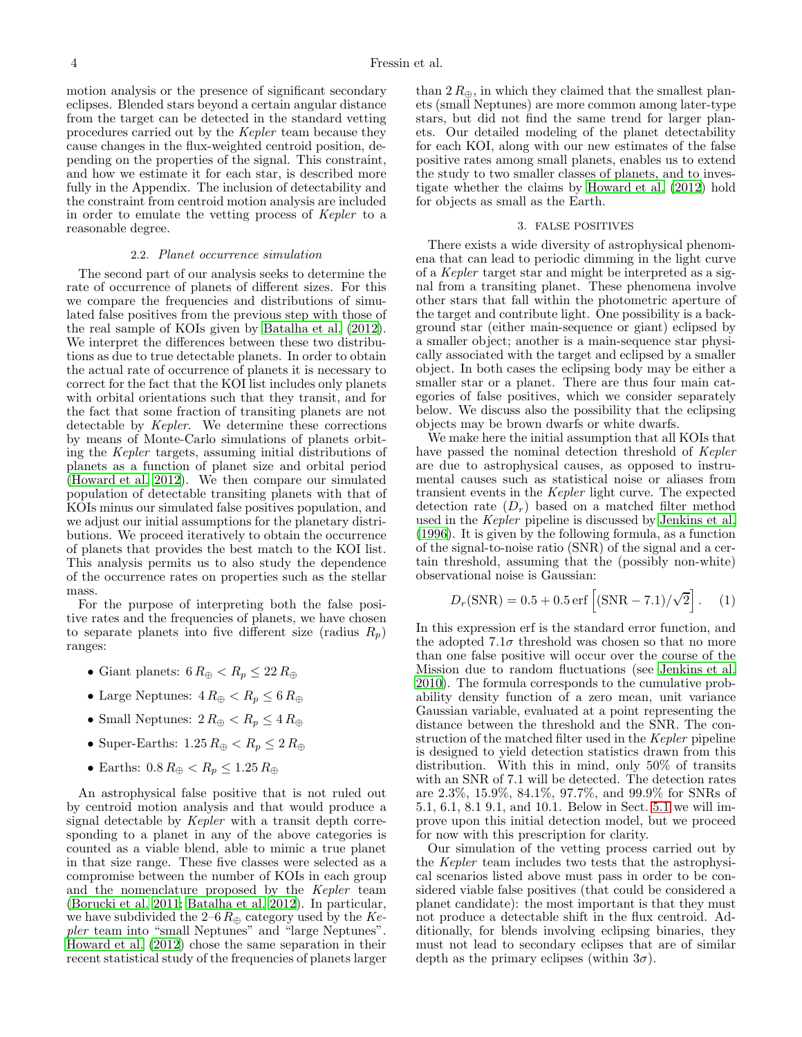motion analysis or the presence of significant secondary eclipses. Blended stars beyond a certain angular distance from the target can be detected in the standard vetting procedures carried out by the Kepler team because they cause changes in the flux-weighted centroid position, depending on the properties of the signal. This constraint, and how we estimate it for each star, is described more fully in the Appendix. The inclusion of detectability and the constraint from centroid motion analysis are included in order to emulate the vetting process of Kepler to a reasonable degree.

### 2.2. Planet occurrence simulation

<span id="page-3-1"></span>The second part of our analysis seeks to determine the rate of occurrence of planets of different sizes. For this we compare the frequencies and distributions of simulated false positives from the previous step with those of the real sample of KOIs given by [Batalha et al. \(2012\)](#page-17-1). We interpret the differences between these two distributions as due to true detectable planets. In order to obtain the actual rate of occurrence of planets it is necessary to correct for the fact that the KOI list includes only planets with orbital orientations such that they transit, and for the fact that some fraction of transiting planets are not detectable by Kepler. We determine these corrections by means of Monte-Carlo simulations of planets orbiting the Kepler targets, assuming initial distributions of planets as a function of planet size and orbital period [\(Howard et al. 2012\)](#page-18-5). We then compare our simulated population of detectable transiting planets with that of KOIs minus our simulated false positives population, and we adjust our initial assumptions for the planetary distributions. We proceed iteratively to obtain the occurrence of planets that provides the best match to the KOI list. This analysis permits us to also study the dependence of the occurrence rates on properties such as the stellar mass.

For the purpose of interpreting both the false positive rates and the frequencies of planets, we have chosen to separate planets into five different size (radius  $R_p$ ) ranges:

- Giant planets:  $6 R_{\oplus} < R_p \leq 22 R_{\oplus}$
- Large Neptunes:  $4 R_{\oplus} < R_p \leq 6 R_{\oplus}$
- Small Neptunes:  $2 R_{\oplus} < R_p \leq 4 R_{\oplus}$
- Super-Earths:  $1.25 R_{\oplus} < R_p \leq 2 R_{\oplus}$
- Earths:  $0.8 R_{\oplus} < R_p \leq 1.25 R_{\oplus}$

An astrophysical false positive that is not ruled out by centroid motion analysis and that would produce a signal detectable by Kepler with a transit depth corresponding to a planet in any of the above categories is counted as a viable blend, able to mimic a true planet in that size range. These five classes were selected as a compromise between the number of KOIs in each group and the nomenclature proposed by the Kepler team [\(Borucki et al. 2011](#page-17-0); [Batalha et al. 2012](#page-17-1)). In particular, we have subdivided the 2–6  $R_{\oplus}$  category used by the Kepler team into "small Neptunes" and "large Neptunes". [Howard et al. \(2012](#page-18-5)) chose the same separation in their recent statistical study of the frequencies of planets larger

than  $2 R_{\oplus}$ , in which they claimed that the smallest planets (small Neptunes) are more common among later-type stars, but did not find the same trend for larger planets. Our detailed modeling of the planet detectability for each KOI, along with our new estimates of the false positive rates among small planets, enables us to extend the study to two smaller classes of planets, and to investigate whether the claims by [Howard et al. \(2012\)](#page-18-5) hold for objects as small as the Earth.

### 3. FALSE POSITIVES

<span id="page-3-0"></span>There exists a wide diversity of astrophysical phenomena that can lead to periodic dimming in the light curve of a Kepler target star and might be interpreted as a signal from a transiting planet. These phenomena involve other stars that fall within the photometric aperture of the target and contribute light. One possibility is a background star (either main-sequence or giant) eclipsed by a smaller object; another is a main-sequence star physically associated with the target and eclipsed by a smaller object. In both cases the eclipsing body may be either a smaller star or a planet. There are thus four main categories of false positives, which we consider separately below. We discuss also the possibility that the eclipsing objects may be brown dwarfs or white dwarfs.

We make here the initial assumption that all KOIs that have passed the nominal detection threshold of Kepler are due to astrophysical causes, as opposed to instrumental causes such as statistical noise or aliases from transient events in the Kepler light curve. The expected detection rate  $(D_r)$  based on a matched filter method used in the Kepler pipeline is discussed by [Jenkins et al.](#page-18-16) [\(1996\)](#page-18-16). It is given by the following formula, as a function of the signal-to-noise ratio (SNR) of the signal and a certain threshold, assuming that the (possibly non-white) observational noise is Gaussian:

<span id="page-3-2"></span>
$$
D_r(\text{SNR}) = 0.5 + 0.5 \,\text{erf}\left[ (\text{SNR} - 7.1)/\sqrt{2} \right]. \tag{1}
$$

In this expression erf is the standard error function, and the adopted  $7.1\sigma$  threshold was chosen so that no more than one false positive will occur over the course of the Mission due to random fluctuations (see [Jenkins et al.](#page-18-17) [2010\)](#page-18-17). The formula corresponds to the cumulative probability density function of a zero mean, unit variance Gaussian variable, evaluated at a point representing the distance between the threshold and the SNR. The construction of the matched filter used in the Kepler pipeline is designed to yield detection statistics drawn from this distribution. With this in mind, only 50% of transits with an SNR of 7.1 will be detected. The detection rates are 2.3%, 15.9%, 84.1%, 97.7%, and 99.9% for SNRs of 5.1, 6.1, 8.1 9.1, and 10.1. Below in Sect. [5.1](#page-9-1) we will improve upon this initial detection model, but we proceed for now with this prescription for clarity.

Our simulation of the vetting process carried out by the Kepler team includes two tests that the astrophysical scenarios listed above must pass in order to be considered viable false positives (that could be considered a planet candidate): the most important is that they must not produce a detectable shift in the flux centroid. Additionally, for blends involving eclipsing binaries, they must not lead to secondary eclipses that are of similar depth as the primary eclipses (within  $3\sigma$ ).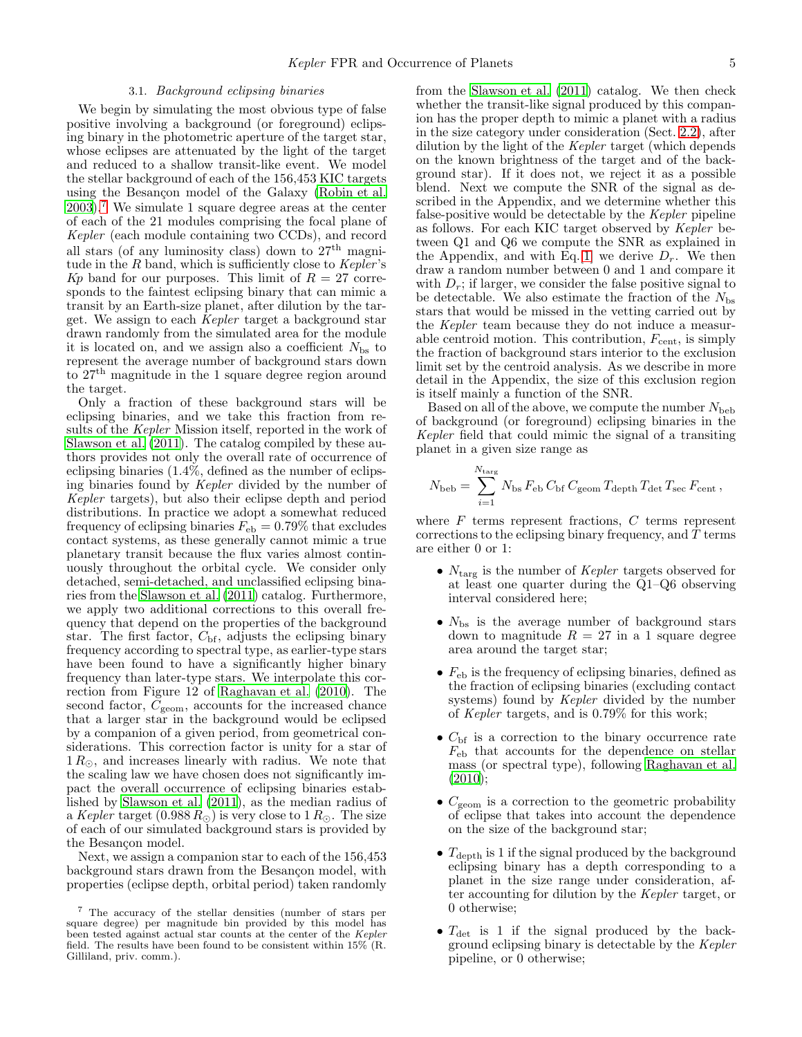### 3.1. Background eclipsing binaries

<span id="page-4-1"></span>We begin by simulating the most obvious type of false positive involving a background (or foreground) eclipsing binary in the photometric aperture of the target star, whose eclipses are attenuated by the light of the target and reduced to a shallow transit-like event. We model the stellar background of each of the 156,453 KIC targets using the Besançon model of the Galaxy [\(Robin et al.](#page-18-18)  $2003$ .<sup>[7](#page-4-0)</sup> We simulate 1 square degree areas at the center of each of the 21 modules comprising the focal plane of Kepler (each module containing two CCDs), and record all stars (of any luminosity class) down to  $27<sup>th</sup>$  magnitude in the R band, which is sufficiently close to Kepler's Kp band for our purposes. This limit of  $R = 27$  corresponds to the faintest eclipsing binary that can mimic a transit by an Earth-size planet, after dilution by the target. We assign to each Kepler target a background star drawn randomly from the simulated area for the module it is located on, and we assign also a coefficient  $N_{\rm bs}$  to represent the average number of background stars down to  $27<sup>th</sup>$  magnitude in the 1 square degree region around the target.

Only a fraction of these background stars will be eclipsing binaries, and we take this fraction from results of the Kepler Mission itself, reported in the work of [Slawson et al. \(2011\)](#page-18-9). The catalog compiled by these authors provides not only the overall rate of occurrence of eclipsing binaries (1.4%, defined as the number of eclipsing binaries found by Kepler divided by the number of Kepler targets), but also their eclipse depth and period distributions. In practice we adopt a somewhat reduced frequency of eclipsing binaries  $F_{eb} = 0.79\%$  that excludes contact systems, as these generally cannot mimic a true planetary transit because the flux varies almost continuously throughout the orbital cycle. We consider only detached, semi-detached, and unclassified eclipsing binaries from the [Slawson et al. \(2011\)](#page-18-9) catalog. Furthermore, we apply two additional corrections to this overall frequency that depend on the properties of the background star. The first factor,  $C_{\text{bf}}$ , adjusts the eclipsing binary frequency according to spectral type, as earlier-type stars have been found to have a significantly higher binary frequency than later-type stars. We interpolate this correction from Figure 12 of [Raghavan et al. \(2010](#page-18-10)). The second factor,  $C_{\text{geom}}$ , accounts for the increased chance that a larger star in the background would be eclipsed by a companion of a given period, from geometrical considerations. This correction factor is unity for a star of  $1 R_{\odot}$ , and increases linearly with radius. We note that the scaling law we have chosen does not significantly impact the overall occurrence of eclipsing binaries established by [Slawson et al. \(2011](#page-18-9)), as the median radius of a Kepler target  $(0.988 R_{\odot})$  is very close to  $1 R_{\odot}$ . The size of each of our simulated background stars is provided by the Besançon model.

Next, we assign a companion star to each of the 156,453 background stars drawn from the Besançon model, with properties (eclipse depth, orbital period) taken randomly

from the [Slawson et al. \(2011](#page-18-9)) catalog. We then check whether the transit-like signal produced by this companion has the proper depth to mimic a planet with a radius in the size category under consideration (Sect. [2.2\)](#page-3-1), after dilution by the light of the Kepler target (which depends on the known brightness of the target and of the background star). If it does not, we reject it as a possible blend. Next we compute the SNR of the signal as described in the Appendix, and we determine whether this false-positive would be detectable by the Kepler pipeline as follows. For each KIC target observed by Kepler between Q1 and Q6 we compute the SNR as explained in the Appendix, and with Eq. [\[1\]](#page-3-2) we derive  $D_r$ . We then draw a random number between 0 and 1 and compare it with  $D_r$ ; if larger, we consider the false positive signal to be detectable. We also estimate the fraction of the  $N_{\rm bs}$ stars that would be missed in the vetting carried out by the Kepler team because they do not induce a measurable centroid motion. This contribution,  $F_{\text{cent}}$ , is simply the fraction of background stars interior to the exclusion limit set by the centroid analysis. As we describe in more detail in the Appendix, the size of this exclusion region is itself mainly a function of the SNR.

Based on all of the above, we compute the number  $N_{\text{beh}}$ of background (or foreground) eclipsing binaries in the Kepler field that could mimic the signal of a transiting planet in a given size range as

$$
N_{\rm beb} = \sum_{i=1}^{N_{\rm targ}} N_{\rm bs} F_{\rm eb} C_{\rm bf} C_{\rm geom} T_{\rm depth} T_{\rm det} T_{\rm sec} F_{\rm cent} ,
$$

where  $F$  terms represent fractions,  $C$  terms represent corrections to the eclipsing binary frequency, and  $T$  terms are either 0 or 1:

- $N_{\text{targ}}$  is the number of *Kepler* targets observed for at least one quarter during the Q1–Q6 observing interval considered here;
- $N_{\rm bs}$  is the average number of background stars down to magnitude  $R = 27$  in a 1 square degree area around the target star;
- $F_{eb}$  is the frequency of eclipsing binaries, defined as the fraction of eclipsing binaries (excluding contact systems) found by Kepler divided by the number of Kepler targets, and is 0.79% for this work;
- $\bullet$   $C_{\rm bf}$  is a correction to the binary occurrence rate  $F_{eb}$  that accounts for the dependence on stellar mass (or spectral type), following [Raghavan et al.](#page-18-10)  $(2010);$  $(2010);$
- $\bullet$   $C_{\text{geom}}$  is a correction to the geometric probability of eclipse that takes into account the dependence on the size of the background star;
- $T_{\text{depth}}$  is 1 if the signal produced by the background eclipsing binary has a depth corresponding to a planet in the size range under consideration, after accounting for dilution by the Kepler target, or 0 otherwise;
- $T_{\text{det}}$  is 1 if the signal produced by the background eclipsing binary is detectable by the Kepler pipeline, or 0 otherwise;

<span id="page-4-0"></span><sup>7</sup> The accuracy of the stellar densities (number of stars per square degree) per magnitude bin provided by this model has been tested against actual star counts at the center of the Kepler field. The results have been found to be consistent within 15% (R. Gilliland, priv. comm.).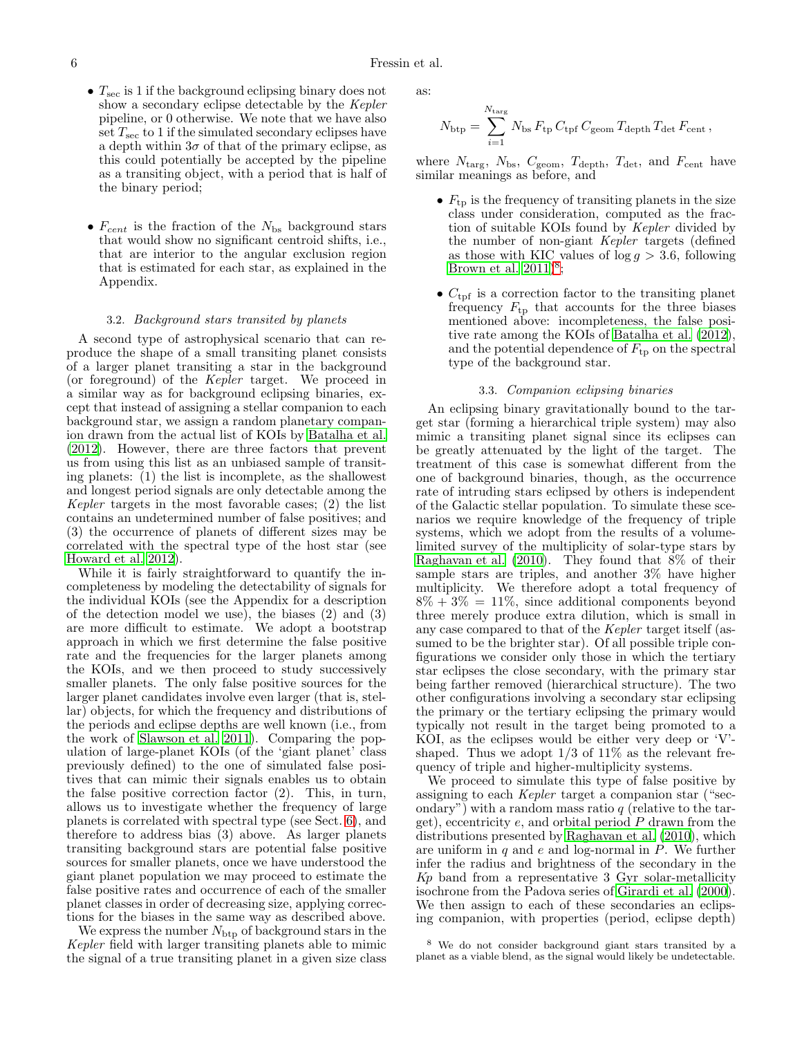- $T_{\text{sec}}$  is 1 if the background eclipsing binary does not show a secondary eclipse detectable by the Kepler pipeline, or 0 otherwise. We note that we have also set  $T_{\text{sec}}$  to 1 if the simulated secondary eclipses have a depth within  $3\sigma$  of that of the primary eclipse, as this could potentially be accepted by the pipeline as a transiting object, with a period that is half of the binary period;
- $F_{cent}$  is the fraction of the  $N_{bs}$  background stars that would show no significant centroid shifts, i.e., that are interior to the angular exclusion region that is estimated for each star, as explained in the Appendix.

### 3.2. Background stars transited by planets

<span id="page-5-1"></span>A second type of astrophysical scenario that can reproduce the shape of a small transiting planet consists of a larger planet transiting a star in the background (or foreground) of the Kepler target. We proceed in a similar way as for background eclipsing binaries, except that instead of assigning a stellar companion to each background star, we assign a random planetary companion drawn from the actual list of KOIs by [Batalha et al.](#page-17-1) [\(2012\)](#page-17-1). However, there are three factors that prevent us from using this list as an unbiased sample of transiting planets: (1) the list is incomplete, as the shallowest and longest period signals are only detectable among the Kepler targets in the most favorable cases; (2) the list contains an undetermined number of false positives; and (3) the occurrence of planets of different sizes may be correlated with the spectral type of the host star (see [Howard et al. 2012\)](#page-18-5).

While it is fairly straightforward to quantify the incompleteness by modeling the detectability of signals for the individual KOIs (see the Appendix for a description of the detection model we use), the biases (2) and (3) are more difficult to estimate. We adopt a bootstrap approach in which we first determine the false positive rate and the frequencies for the larger planets among the KOIs, and we then proceed to study successively smaller planets. The only false positive sources for the larger planet candidates involve even larger (that is, stellar) objects, for which the frequency and distributions of the periods and eclipse depths are well known (i.e., from the work of [Slawson et al. 2011\)](#page-18-9). Comparing the population of large-planet KOIs (of the 'giant planet' class previously defined) to the one of simulated false positives that can mimic their signals enables us to obtain the false positive correction factor (2). This, in turn, allows us to investigate whether the frequency of large planets is correlated with spectral type (see Sect. [6\)](#page-11-0), and therefore to address bias  $(3)$  above. As larger planets transiting background stars are potential false positive sources for smaller planets, once we have understood the giant planet population we may proceed to estimate the false positive rates and occurrence of each of the smaller planet classes in order of decreasing size, applying corrections for the biases in the same way as described above.

We express the number  $N_{\text{btp}}$  of background stars in the Kepler field with larger transiting planets able to mimic the signal of a true transiting planet in a given size class

as:

$$
N_{\rm{btp}} = \sum_{i=1}^{N_{\rm{targ}}} N_{\rm{bs}} F_{\rm{tp}} C_{\rm{tpf}} C_{\rm{geom}} T_{\rm{depth}} T_{\rm{det}} F_{\rm{cent}},
$$

where  $N_{\text{targ}}$ ,  $N_{\text{bs}}$ ,  $C_{\text{geom}}$ ,  $T_{\text{depth}}$ ,  $T_{\text{det}}$ , and  $F_{\text{cent}}$  have similar meanings as before, and

- $F_{\text{tp}}$  is the frequency of transiting planets in the size class under consideration, computed as the fraction of suitable KOIs found by Kepler divided by the number of non-giant Kepler targets (defined as those with KIC values of  $\log g > 3.6$ , following Brown et al.  $2011)^8$  $2011)^8$ ;
- $C_{\text{tpf}}$  is a correction factor to the transiting planet frequency  $F_{\text{tp}}$  that accounts for the three biases mentioned above: incompleteness, the false positive rate among the KOIs of [Batalha et al. \(2012](#page-17-1)), and the potential dependence of  $F_{\text{tp}}$  on the spectral type of the background star.

### 3.3. Companion eclipsing binaries

An eclipsing binary gravitationally bound to the target star (forming a hierarchical triple system) may also mimic a transiting planet signal since its eclipses can be greatly attenuated by the light of the target. The treatment of this case is somewhat different from the one of background binaries, though, as the occurrence rate of intruding stars eclipsed by others is independent of the Galactic stellar population. To simulate these scenarios we require knowledge of the frequency of triple systems, which we adopt from the results of a volumelimited survey of the multiplicity of solar-type stars by [Raghavan et al. \(2010\)](#page-18-10). They found that 8% of their sample stars are triples, and another 3% have higher multiplicity. We therefore adopt a total frequency of  $8\% + 3\% = 11\%$ , since additional components beyond three merely produce extra dilution, which is small in any case compared to that of the Kepler target itself (assumed to be the brighter star). Of all possible triple configurations we consider only those in which the tertiary star eclipses the close secondary, with the primary star being farther removed (hierarchical structure). The two other configurations involving a secondary star eclipsing the primary or the tertiary eclipsing the primary would typically not result in the target being promoted to a KOI, as the eclipses would be either very deep or 'V' shaped. Thus we adopt  $1/3$  of  $11\%$  as the relevant frequency of triple and higher-multiplicity systems.

We proceed to simulate this type of false positive by assigning to each Kepler target a companion star ("secondary") with a random mass ratio  $q$  (relative to the target), eccentricity  $e$ , and orbital period  $P$  drawn from the distributions presented by [Raghavan et al. \(2010\)](#page-18-10), which are uniform in  $q$  and  $e$  and log-normal in  $P$ . We further infer the radius and brightness of the secondary in the  $Kp$  band from a representative 3 Gyr solar-metallicity isochrone from the Padova series of [Girardi et al. \(2000](#page-18-19)). We then assign to each of these secondaries an eclipsing companion, with properties (period, eclipse depth)

<span id="page-5-0"></span><sup>8</sup> We do not consider background giant stars transited by a planet as a viable blend, as the signal would likely be undetectable.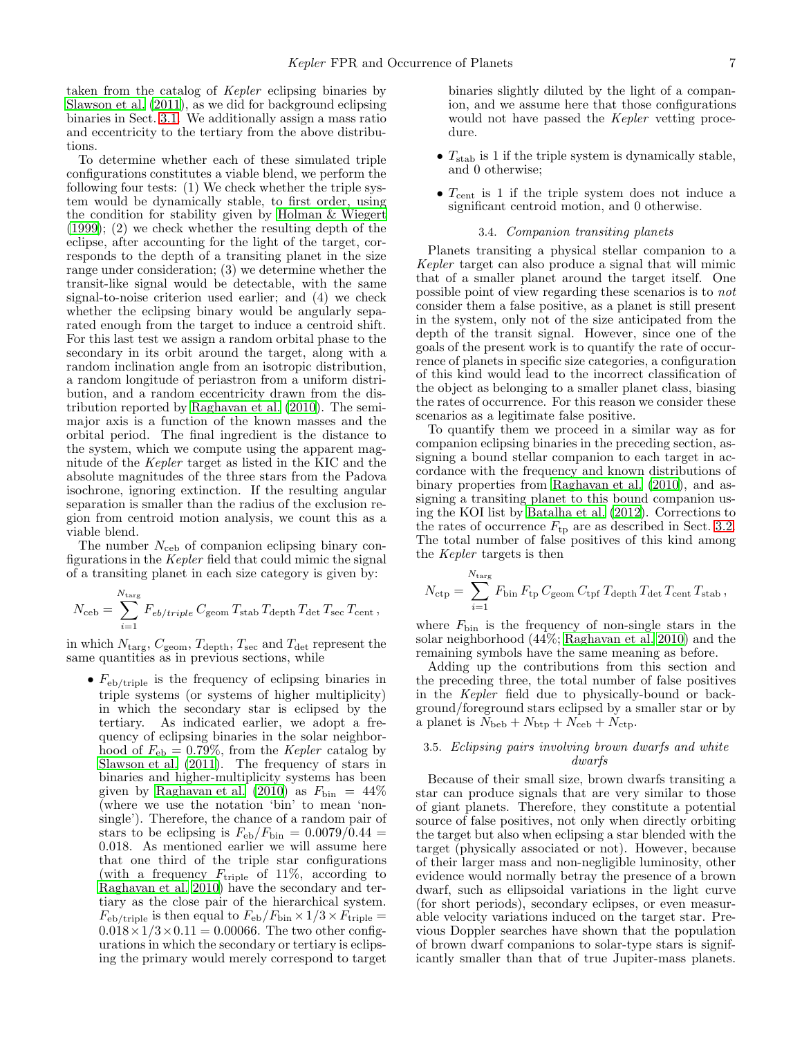taken from the catalog of Kepler eclipsing binaries by [Slawson et al. \(2011\)](#page-18-9), as we did for background eclipsing binaries in Sect. [3.1.](#page-4-1) We additionally assign a mass ratio and eccentricity to the tertiary from the above distributions.

To determine whether each of these simulated triple configurations constitutes a viable blend, we perform the following four tests: (1) We check whether the triple system would be dynamically stable, to first order, using the condition for stability given by [Holman & Wiegert](#page-18-20) [\(1999\)](#page-18-20); (2) we check whether the resulting depth of the eclipse, after accounting for the light of the target, corresponds to the depth of a transiting planet in the size range under consideration; (3) we determine whether the transit-like signal would be detectable, with the same signal-to-noise criterion used earlier; and (4) we check whether the eclipsing binary would be angularly separated enough from the target to induce a centroid shift. For this last test we assign a random orbital phase to the secondary in its orbit around the target, along with a random inclination angle from an isotropic distribution, a random longitude of periastron from a uniform distribution, and a random eccentricity drawn from the distribution reported by [Raghavan et al. \(2010](#page-18-10)). The semimajor axis is a function of the known masses and the orbital period. The final ingredient is the distance to the system, which we compute using the apparent magnitude of the Kepler target as listed in the KIC and the absolute magnitudes of the three stars from the Padova isochrone, ignoring extinction. If the resulting angular separation is smaller than the radius of the exclusion region from centroid motion analysis, we count this as a viable blend.

The number  $N_{\rm ceb}$  of companion eclipsing binary configurations in the Kepler field that could mimic the signal of a transiting planet in each size category is given by:

$$
N_{\rm ceb} = \sum_{i=1}^{N_{\rm targ}} F_{eb/triple} C_{\rm geom} T_{\rm stab} T_{\rm depth} T_{\rm det} T_{\rm sec} T_{\rm cent} \,,
$$

in which  $N_{\text{targ}}$ ,  $C_{\text{geom}}$ ,  $T_{\text{depth}}$ ,  $T_{\text{sec}}$  and  $T_{\text{det}}$  represent the same quantities as in previous sections, while

•  $F_{\text{eb}/\text{triple}}$  is the frequency of eclipsing binaries in triple systems (or systems of higher multiplicity) in which the secondary star is eclipsed by the tertiary. As indicated earlier, we adopt a frequency of eclipsing binaries in the solar neighborhood of  $F_{eb} = 0.79\%$ , from the *Kepler* catalog by [Slawson et al. \(2011\)](#page-18-9). The frequency of stars in binaries and higher-multiplicity systems has been given by [Raghavan et al. \(2010\)](#page-18-10) as  $F_{\text{bin}} = 44\%$ (where we use the notation 'bin' to mean 'nonsingle'). Therefore, the chance of a random pair of stars to be eclipsing is  $F_{eb}/F_{bin} = 0.0079/0.44 =$ 0.018. As mentioned earlier we will assume here that one third of the triple star configurations (with a frequency  $F_{\text{triple}}$  of 11\%, according to [Raghavan et al. 2010](#page-18-10)) have the secondary and tertiary as the close pair of the hierarchical system.  $F_{\text{eb}/\text{triple}}$  is then equal to  $F_{\text{eb}}/F_{\text{bin}} \times 1/3 \times F_{\text{triple}} =$  $0.018 \times 1/3 \times 0.11 = 0.00066$ . The two other configurations in which the secondary or tertiary is eclipsing the primary would merely correspond to target

binaries slightly diluted by the light of a companion, and we assume here that those configurations would not have passed the *Kepler* vetting procedure.

- $T_{\text{stab}}$  is 1 if the triple system is dynamically stable, and 0 otherwise;
- <span id="page-6-0"></span>•  $T_{\text{cent}}$  is 1 if the triple system does not induce a significant centroid motion, and 0 otherwise.

## 3.4. Companion transiting planets

Planets transiting a physical stellar companion to a Kepler target can also produce a signal that will mimic that of a smaller planet around the target itself. One possible point of view regarding these scenarios is to not consider them a false positive, as a planet is still present in the system, only not of the size anticipated from the depth of the transit signal. However, since one of the goals of the present work is to quantify the rate of occurrence of planets in specific size categories, a configuration of this kind would lead to the incorrect classification of the object as belonging to a smaller planet class, biasing the rates of occurrence. For this reason we consider these scenarios as a legitimate false positive.

To quantify them we proceed in a similar way as for companion eclipsing binaries in the preceding section, assigning a bound stellar companion to each target in accordance with the frequency and known distributions of binary properties from [Raghavan et al. \(2010\)](#page-18-10), and assigning a transiting planet to this bound companion using the KOI list by [Batalha et al. \(2012](#page-17-1)). Corrections to the rates of occurrence  $F_{\text{tp}}$  are as described in Sect. [3.2.](#page-5-1) The total number of false positives of this kind among the Kepler targets is then

$$
N_{\rm ctp} = \sum_{i=1}^{N_{\rm targ}} F_{\rm bin} F_{\rm tp} C_{\rm geom} C_{\rm tpf} T_{\rm depth} T_{\rm det} T_{\rm cent} T_{\rm stab},
$$

where  $F_{\text{bin}}$  is the frequency of non-single stars in the solar neighborhood (44%; [Raghavan et al. 2010](#page-18-10)) and the remaining symbols have the same meaning as before.

Adding up the contributions from this section and the preceding three, the total number of false positives in the Kepler field due to physically-bound or background/foreground stars eclipsed by a smaller star or by a planet is  $N_{\text{beb}} + N_{\text{btp}} + N_{\text{ceb}} + N_{\text{ctp}}$ .

## 3.5. Eclipsing pairs involving brown dwarfs and white dwarfs

Because of their small size, brown dwarfs transiting a star can produce signals that are very similar to those of giant planets. Therefore, they constitute a potential source of false positives, not only when directly orbiting the target but also when eclipsing a star blended with the target (physically associated or not). However, because of their larger mass and non-negligible luminosity, other evidence would normally betray the presence of a brown dwarf, such as ellipsoidal variations in the light curve (for short periods), secondary eclipses, or even measurable velocity variations induced on the target star. Previous Doppler searches have shown that the population of brown dwarf companions to solar-type stars is significantly smaller than that of true Jupiter-mass planets.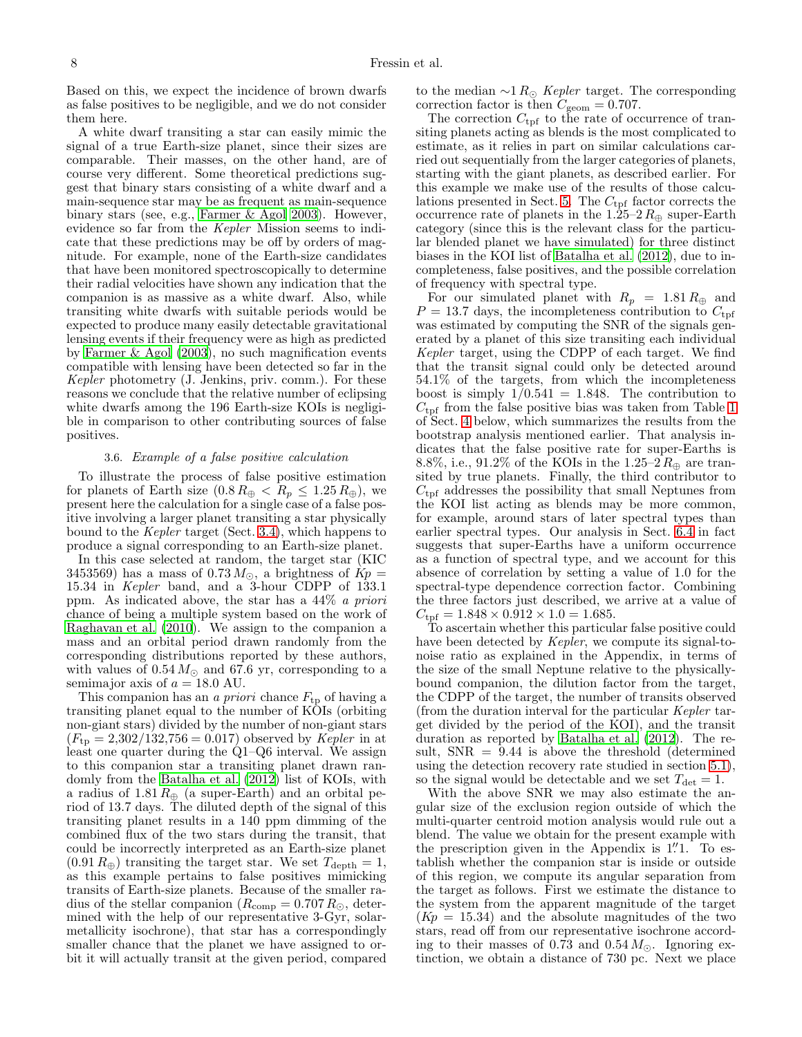Based on this, we expect the incidence of brown dwarfs as false positives to be negligible, and we do not consider them here.

A white dwarf transiting a star can easily mimic the signal of a true Earth-size planet, since their sizes are comparable. Their masses, on the other hand, are of course very different. Some theoretical predictions suggest that binary stars consisting of a white dwarf and a main-sequence star may be as frequent as main-sequence binary stars (see, e.g., [Farmer & Agol 2003\)](#page-18-21). However, evidence so far from the Kepler Mission seems to indicate that these predictions may be off by orders of magnitude. For example, none of the Earth-size candidates that have been monitored spectroscopically to determine their radial velocities have shown any indication that the companion is as massive as a white dwarf. Also, while transiting white dwarfs with suitable periods would be expected to produce many easily detectable gravitational lensing events if their frequency were as high as predicted by [Farmer & Agol \(2003\)](#page-18-21), no such magnification events compatible with lensing have been detected so far in the Kepler photometry (J. Jenkins, priv. comm.). For these reasons we conclude that the relative number of eclipsing white dwarfs among the 196 Earth-size KOIs is negligible in comparison to other contributing sources of false positives.

### 3.6. Example of a false positive calculation

To illustrate the process of false positive estimation for planets of Earth size  $(0.8 R_{\oplus} < R_p \leq 1.25 R_{\oplus})$ , we present here the calculation for a single case of a false positive involving a larger planet transiting a star physically bound to the Kepler target (Sect. [3.4\)](#page-6-0), which happens to produce a signal corresponding to an Earth-size planet.

In this case selected at random, the target star (KIC 3453569) has a mass of  $0.73 M_{\odot}$ , a brightness of  $Kp =$ 15.34 in Kepler band, and a 3-hour CDPP of 133.1 ppm. As indicated above, the star has a  $44\%$  a priori chance of being a multiple system based on the work of [Raghavan et al. \(2010\)](#page-18-10). We assign to the companion a mass and an orbital period drawn randomly from the corresponding distributions reported by these authors, with values of  $0.54 M_{\odot}$  and 67.6 yr, corresponding to a semimajor axis of  $a = 18.0$  AU.

This companion has an *a priori* chance  $F_{tp}$  of having a transiting planet equal to the number of KOIs (orbiting non-giant stars) divided by the number of non-giant stars  $(F_{\text{tp}} = 2,302/132,756 = 0.017)$  observed by *Kepler* in at least one quarter during the  $Q1-Q6$  interval. We assign to this companion star a transiting planet drawn randomly from the [Batalha et al. \(2012\)](#page-17-1) list of KOIs, with a radius of  $1.81 R_{\oplus}$  (a super-Earth) and an orbital period of 13.7 days. The diluted depth of the signal of this transiting planet results in a 140 ppm dimming of the combined flux of the two stars during the transit, that could be incorrectly interpreted as an Earth-size planet  $(0.91 R_{\oplus})$  transiting the target star. We set  $T_{\text{depth}} = 1$ , as this example pertains to false positives mimicking transits of Earth-size planets. Because of the smaller radius of the stellar companion ( $R_{\text{comp}} = 0.707 R_{\odot}$ , determined with the help of our representative 3-Gyr, solarmetallicity isochrone), that star has a correspondingly smaller chance that the planet we have assigned to orbit it will actually transit at the given period, compared

to the median  $\sim 1 R_{\odot}$  Kepler target. The corresponding correction factor is then  $C_{\text{geom}} = 0.707$ .

The correction  $C_{\text{tpf}}$  to the rate of occurrence of transiting planets acting as blends is the most complicated to estimate, as it relies in part on similar calculations carried out sequentially from the larger categories of planets, starting with the giant planets, as described earlier. For this example we make use of the results of those calcu-lations presented in Sect. [5.](#page-9-0) The  $C_{\text{tpf}}$  factor corrects the occurrence rate of planets in the  $1.\overline{25-2}R_{\oplus}$  super-Earth category (since this is the relevant class for the particular blended planet we have simulated) for three distinct biases in the KOI list of [Batalha et al. \(2012](#page-17-1)), due to incompleteness, false positives, and the possible correlation of frequency with spectral type.

For our simulated planet with  $R_p = 1.81 R_{\oplus}$  and  $P = 13.7$  days, the incompleteness contribution to  $C_{\text{tof}}$ was estimated by computing the SNR of the signals generated by a planet of this size transiting each individual Kepler target, using the CDPP of each target. We find that the transit signal could only be detected around 54.1% of the targets, from which the incompleteness boost is simply  $1/0.541 = 1.848$ . The contribution to  $C_{\text{tpf}}$  from the false positive bias was taken from Table [1](#page-19-0) of Sect. [4](#page-8-0) below, which summarizes the results from the bootstrap analysis mentioned earlier. That analysis indicates that the false positive rate for super-Earths is 8.8%, i.e., 91.2% of the KOIs in the 1.25–2 $R_{\oplus}$  are transited by true planets. Finally, the third contributor to  $C_{\text{tpf}}$  addresses the possibility that small Neptunes from the KOI list acting as blends may be more common, for example, around stars of later spectral types than earlier spectral types. Our analysis in Sect. [6.4](#page-14-0) in fact suggests that super-Earths have a uniform occurrence as a function of spectral type, and we account for this absence of correlation by setting a value of 1.0 for the spectral-type dependence correction factor. Combining the three factors just described, we arrive at a value of  $C_{\rm tpf} = 1.848 \times 0.912 \times 1.0 = 1.685.$ 

To ascertain whether this particular false positive could have been detected by *Kepler*, we compute its signal-tonoise ratio as explained in the Appendix, in terms of the size of the small Neptune relative to the physicallybound companion, the dilution factor from the target, the CDPP of the target, the number of transits observed (from the duration interval for the particular Kepler target divided by the period of the KOI), and the transit duration as reported by [Batalha et al. \(2012\)](#page-17-1). The result,  $SNR = 9.44$  is above the threshold (determined using the detection recovery rate studied in section [5.1\)](#page-9-1), so the signal would be detectable and we set  $T_{\text{det}} = 1$ .

With the above SNR we may also estimate the angular size of the exclusion region outside of which the multi-quarter centroid motion analysis would rule out a blend. The value we obtain for the present example with the prescription given in the Appendix is 1.'<sup>1</sup>. To establish whether the companion star is inside or outside of this region, we compute its angular separation from the target as follows. First we estimate the distance to the system from the apparent magnitude of the target  $(Kp = 15.34)$  and the absolute magnitudes of the two stars, read off from our representative isochrone according to their masses of 0.73 and  $0.54 M_{\odot}$ . Ignoring extinction, we obtain a distance of 730 pc. Next we place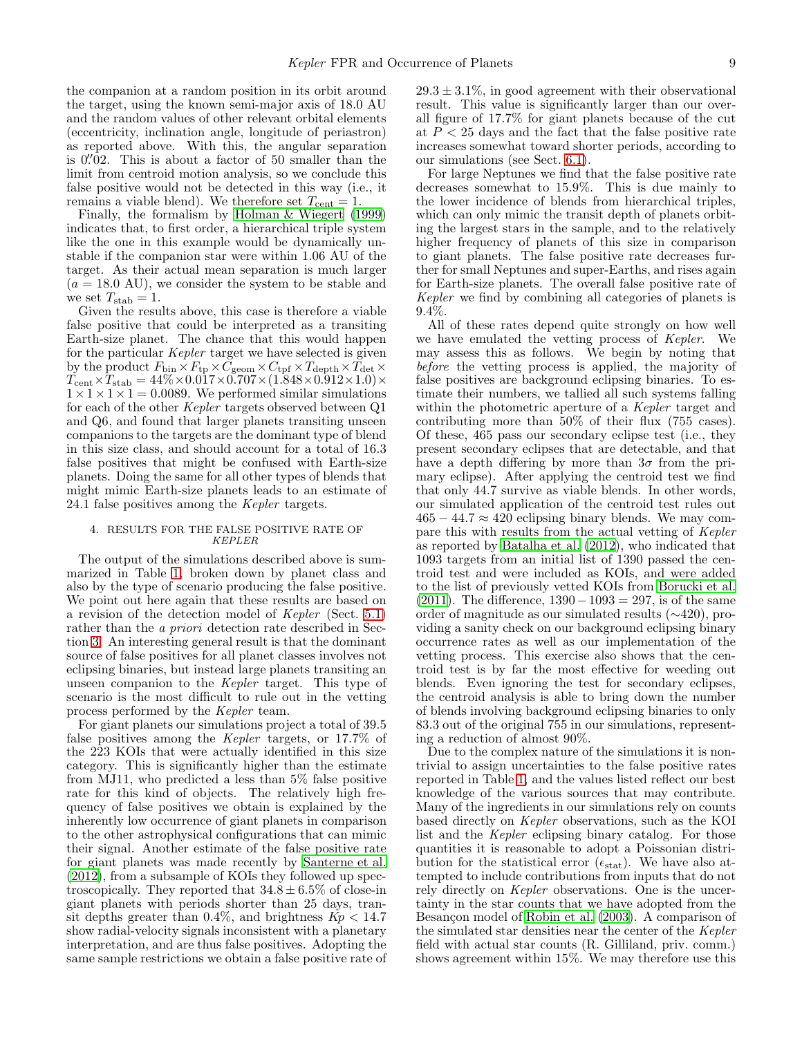the companion at a random position in its orbit around the target, using the known semi-major axis of 18.0 AU and the random values of other relevant orbital elements (eccentricity, inclination angle, longitude of periastron) as reported above. With this, the angular separation is  $0\rlap.{''}02$ . This is about a factor of 50 smaller than the limit from centroid motion analysis, so we conclude this false positive would not be detected in this way (i.e., it remains a viable blend). We therefore set  $T_{\text{cent}} = 1$ .

Finally, the formalism by [Holman & Wiegert \(1999](#page-18-20)) indicates that, to first order, a hierarchical triple system like the one in this example would be dynamically unstable if the companion star were within 1.06 AU of the target. As their actual mean separation is much larger  $(a = 18.0 \text{ AU})$ , we consider the system to be stable and we set  $T_{\text{stab}} = 1$ .

Given the results above, this case is therefore a viable false positive that could be interpreted as a transiting Earth-size planet. The chance that this would happen for the particular Kepler target we have selected is given by the product  $F_{\text{bin}} \times F_{\text{tp}} \times C_{\text{geom}} \times C_{\text{tf}} \times T_{\text{depth}} \times T_{\text{det}} \times T_{\text{det}}$  $T_{\text{cent}} \times T_{\text{stab}} = 44\% \times 0.017 \times 0.707 \times (1.848 \times 0.912 \times 1.0) \times$  $1 \times 1 \times 1 \times 1 = 0.0089$ . We performed similar simulations for each of the other Kepler targets observed between Q1 and Q6, and found that larger planets transiting unseen companions to the targets are the dominant type of blend in this size class, and should account for a total of 16.3 false positives that might be confused with Earth-size planets. Doing the same for all other types of blends that might mimic Earth-size planets leads to an estimate of 24.1 false positives among the Kepler targets.

## <span id="page-8-0"></span>4. RESULTS FOR THE FALSE POSITIVE RATE OF KEPLER

The output of the simulations described above is summarized in Table [1,](#page-19-0) broken down by planet class and also by the type of scenario producing the false positive. We point out here again that these results are based on a revision of the detection model of Kepler (Sect. [5.1\)](#page-9-1) rather than the *a priori* detection rate described in Section [3.](#page-3-0) An interesting general result is that the dominant source of false positives for all planet classes involves not eclipsing binaries, but instead large planets transiting an unseen companion to the Kepler target. This type of scenario is the most difficult to rule out in the vetting process performed by the Kepler team.

For giant planets our simulations project a total of 39.5 false positives among the Kepler targets, or 17.7% of the 223 KOIs that were actually identified in this size category. This is significantly higher than the estimate from MJ11, who predicted a less than 5% false positive rate for this kind of objects. The relatively high frequency of false positives we obtain is explained by the inherently low occurrence of giant planets in comparison to the other astrophysical configurations that can mimic their signal. Another estimate of the false positive rate for giant planets was made recently by [Santerne et al.](#page-18-11) [\(2012\)](#page-18-11), from a subsample of KOIs they followed up spectroscopically. They reported that  $34.8 \pm 6.5\%$  of close-in giant planets with periods shorter than 25 days, transit depths greater than 0.4%, and brightness  $Kp < 14.7$ show radial-velocity signals inconsistent with a planetary interpretation, and are thus false positives. Adopting the same sample restrictions we obtain a false positive rate of

 $29.3 \pm 3.1\%$ , in good agreement with their observational result. This value is significantly larger than our overall figure of 17.7% for giant planets because of the cut at  $P < 25$  days and the fact that the false positive rate increases somewhat toward shorter periods, according to our simulations (see Sect. [6.1\)](#page-11-1).

For large Neptunes we find that the false positive rate decreases somewhat to 15.9%. This is due mainly to the lower incidence of blends from hierarchical triples, which can only mimic the transit depth of planets orbiting the largest stars in the sample, and to the relatively higher frequency of planets of this size in comparison to giant planets. The false positive rate decreases further for small Neptunes and super-Earths, and rises again for Earth-size planets. The overall false positive rate of Kepler we find by combining all categories of planets is 9.4%.

All of these rates depend quite strongly on how well we have emulated the vetting process of Kepler. We may assess this as follows. We begin by noting that before the vetting process is applied, the majority of false positives are background eclipsing binaries. To estimate their numbers, we tallied all such systems falling within the photometric aperture of a Kepler target and contributing more than 50% of their flux (755 cases). Of these, 465 pass our secondary eclipse test (i.e., they present secondary eclipses that are detectable, and that have a depth differing by more than  $3\sigma$  from the primary eclipse). After applying the centroid test we find that only 44.7 survive as viable blends. In other words, our simulated application of the centroid test rules out  $465 - 44.7 \approx 420$  eclipsing binary blends. We may compare this with results from the actual vetting of Kepler as reported by [Batalha et al. \(2012\)](#page-17-1), who indicated that 1093 targets from an initial list of 1390 passed the centroid test and were included as KOIs, and were added to the list of previously vetted KOIs from [Borucki et al.](#page-17-0)  $(2011)$ . The difference,  $1390-1093=297$ , is of the same order of magnitude as our simulated results (∼420), providing a sanity check on our background eclipsing binary occurrence rates as well as our implementation of the vetting process. This exercise also shows that the centroid test is by far the most effective for weeding out blends. Even ignoring the test for secondary eclipses, the centroid analysis is able to bring down the number of blends involving background eclipsing binaries to only 83.3 out of the original 755 in our simulations, representing a reduction of almost 90%.

Due to the complex nature of the simulations it is nontrivial to assign uncertainties to the false positive rates reported in Table [1,](#page-19-0) and the values listed reflect our best knowledge of the various sources that may contribute. Many of the ingredients in our simulations rely on counts based directly on Kepler observations, such as the KOI list and the Kepler eclipsing binary catalog. For those quantities it is reasonable to adopt a Poissonian distribution for the statistical error ( $\epsilon_{\text{stat}}$ ). We have also attempted to include contributions from inputs that do not rely directly on Kepler observations. One is the uncertainty in the star counts that we have adopted from the Besançon model of [Robin et al. \(2003](#page-18-18)). A comparison of the simulated star densities near the center of the Kepler field with actual star counts (R. Gilliland, priv. comm.) shows agreement within 15%. We may therefore use this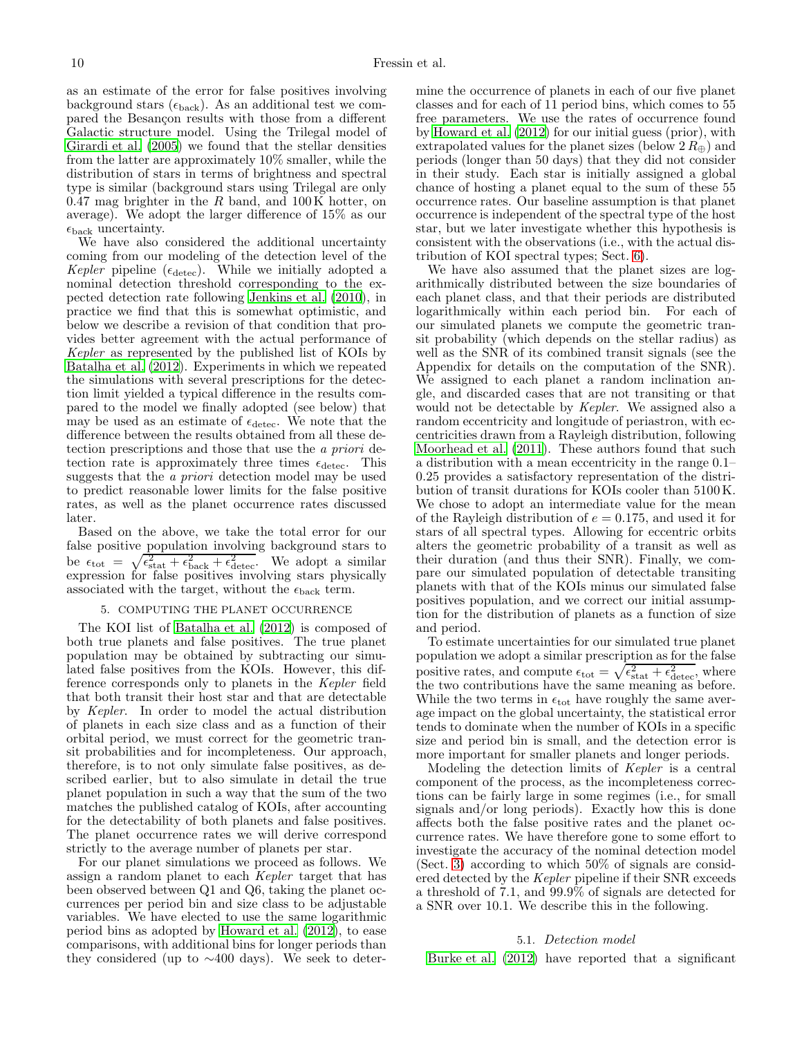as an estimate of the error for false positives involving background stars ( $\epsilon_{\text{back}}$ ). As an additional test we compared the Besançon results with those from a different Galactic structure model. Using the Trilegal model of [Girardi et al. \(2005\)](#page-18-22) we found that the stellar densities from the latter are approximately 10% smaller, while the distribution of stars in terms of brightness and spectral type is similar (background stars using Trilegal are only  $0.47$  mag brighter in the  $R$  band, and  $100 \text{ K}$  hotter, on average). We adopt the larger difference of 15% as our  $\epsilon_{\rm back}$  uncertainty.

We have also considered the additional uncertainty coming from our modeling of the detection level of the Kepler pipeline ( $\epsilon_{\text{detect}}$ ). While we initially adopted a nominal detection threshold corresponding to the expected detection rate following [Jenkins et al. \(2010](#page-18-17)), in practice we find that this is somewhat optimistic, and below we describe a revision of that condition that provides better agreement with the actual performance of Kepler as represented by the published list of KOIs by [Batalha et al. \(2012\)](#page-17-1). Experiments in which we repeated the simulations with several prescriptions for the detection limit yielded a typical difference in the results compared to the model we finally adopted (see below) that may be used as an estimate of  $\epsilon_{\text{detect}}$ . We note that the difference between the results obtained from all these detection prescriptions and those that use the a priori detection rate is approximately three times  $\epsilon_{\text{detect}}$ . This suggests that the *a priori* detection model may be used to predict reasonable lower limits for the false positive rates, as well as the planet occurrence rates discussed later.

Based on the above, we take the total error for our false positive population involving background stars to be  $\epsilon_{\text{tot}} = \sqrt{\epsilon_{\text{stat}}^2 + \epsilon_{\text{back}}^2 + \epsilon_{\text{detect}}^2}$ . We adopt a similar expression for false positives involving stars physically associated with the target, without the  $\epsilon_{\rm back}$  term.

## 5. COMPUTING THE PLANET OCCURRENCE

<span id="page-9-0"></span>The KOI list of [Batalha et al. \(2012\)](#page-17-1) is composed of both true planets and false positives. The true planet population may be obtained by subtracting our simulated false positives from the KOIs. However, this difference corresponds only to planets in the Kepler field that both transit their host star and that are detectable by Kepler. In order to model the actual distribution of planets in each size class and as a function of their orbital period, we must correct for the geometric transit probabilities and for incompleteness. Our approach, therefore, is to not only simulate false positives, as described earlier, but to also simulate in detail the true planet population in such a way that the sum of the two matches the published catalog of KOIs, after accounting for the detectability of both planets and false positives. The planet occurrence rates we will derive correspond strictly to the average number of planets per star.

For our planet simulations we proceed as follows. We assign a random planet to each Kepler target that has been observed between Q1 and Q6, taking the planet occurrences per period bin and size class to be adjustable variables. We have elected to use the same logarithmic period bins as adopted by [Howard et al. \(2012\)](#page-18-5), to ease comparisons, with additional bins for longer periods than they considered (up to ∼400 days). We seek to determine the occurrence of planets in each of our five planet classes and for each of 11 period bins, which comes to 55 free parameters. We use the rates of occurrence found by [Howard et al. \(2012](#page-18-5)) for our initial guess (prior), with extrapolated values for the planet sizes (below  $2 R_{\oplus}$ ) and periods (longer than 50 days) that they did not consider in their study. Each star is initially assigned a global chance of hosting a planet equal to the sum of these 55 occurrence rates. Our baseline assumption is that planet occurrence is independent of the spectral type of the host star, but we later investigate whether this hypothesis is consistent with the observations (i.e., with the actual distribution of KOI spectral types; Sect. [6\)](#page-11-0).

We have also assumed that the planet sizes are logarithmically distributed between the size boundaries of each planet class, and that their periods are distributed logarithmically within each period bin. For each of our simulated planets we compute the geometric transit probability (which depends on the stellar radius) as well as the SNR of its combined transit signals (see the Appendix for details on the computation of the SNR). We assigned to each planet a random inclination angle, and discarded cases that are not transiting or that would not be detectable by Kepler. We assigned also a random eccentricity and longitude of periastron, with eccentricities drawn from a Rayleigh distribution, following [Moorhead et al. \(2011\)](#page-18-23). These authors found that such a distribution with a mean eccentricity in the range 0.1– 0.25 provides a satisfactory representation of the distribution of transit durations for KOIs cooler than 5100 K. We chose to adopt an intermediate value for the mean of the Rayleigh distribution of  $e = 0.175$ , and used it for stars of all spectral types. Allowing for eccentric orbits alters the geometric probability of a transit as well as their duration (and thus their SNR). Finally, we compare our simulated population of detectable transiting planets with that of the KOIs minus our simulated false positives population, and we correct our initial assumption for the distribution of planets as a function of size and period.

To estimate uncertainties for our simulated true planet population we adopt a similar prescription as for the false positive rates, and compute  $\epsilon_{\text{tot}} = \sqrt{\epsilon_{\text{stat}}^2 + \epsilon_{\text{detect}}^2}$ , where the two contributions have the same meaning as before. While the two terms in  $\epsilon_{\text{tot}}$  have roughly the same average impact on the global uncertainty, the statistical error tends to dominate when the number of KOIs in a specific size and period bin is small, and the detection error is more important for smaller planets and longer periods.

Modeling the detection limits of Kepler is a central component of the process, as the incompleteness corrections can be fairly large in some regimes (i.e., for small signals and/or long periods). Exactly how this is done affects both the false positive rates and the planet occurrence rates. We have therefore gone to some effort to investigate the accuracy of the nominal detection model (Sect. [3\)](#page-3-0) according to which 50% of signals are considered detected by the Kepler pipeline if their SNR exceeds a threshold of 7.1, and 99.9% of signals are detected for a SNR over 10.1. We describe this in the following.

### 5.1. Detection model

<span id="page-9-1"></span>[Burke et al. \(2012](#page-17-10)) have reported that a significant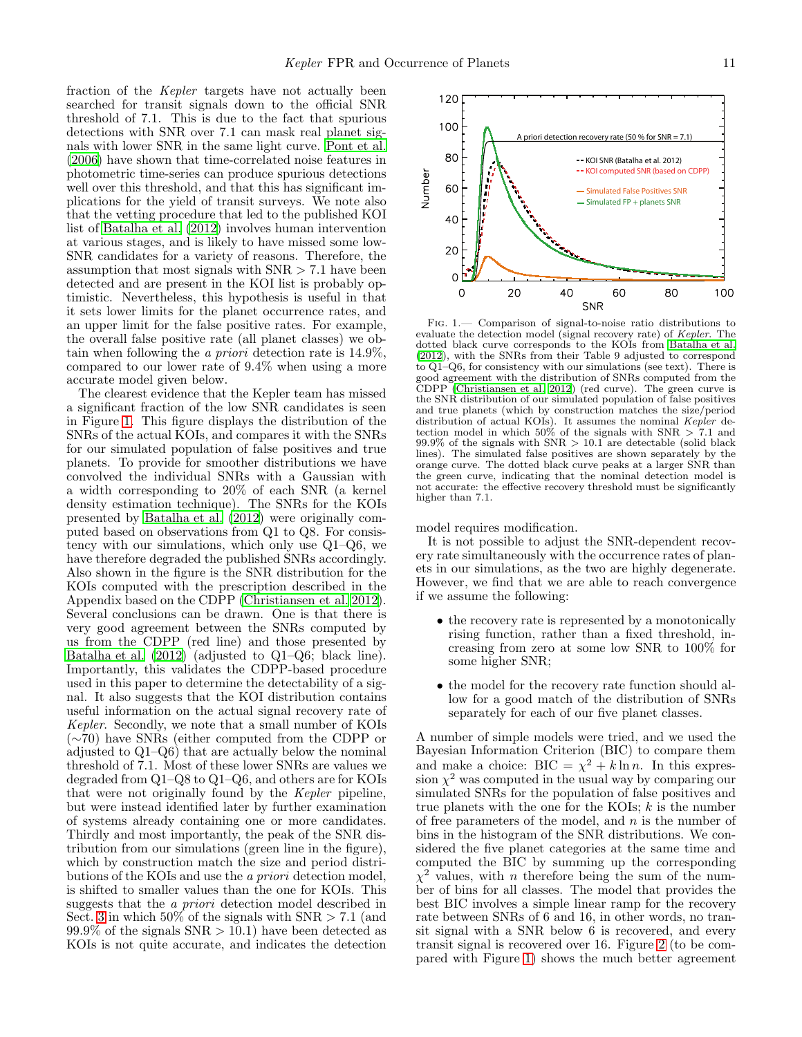fraction of the Kepler targets have not actually been searched for transit signals down to the official SNR threshold of 7.1. This is due to the fact that spurious detections with SNR over 7.1 can mask real planet signals with lower SNR in the same light curve. [Pont et al.](#page-18-24) [\(2006\)](#page-18-24) have shown that time-correlated noise features in photometric time-series can produce spurious detections well over this threshold, and that this has significant implications for the yield of transit surveys. We note also that the vetting procedure that led to the published KOI list of [Batalha et al. \(2012\)](#page-17-1) involves human intervention at various stages, and is likely to have missed some low-SNR candidates for a variety of reasons. Therefore, the assumption that most signals with  $SNR > 7.1$  have been detected and are present in the KOI list is probably optimistic. Nevertheless, this hypothesis is useful in that it sets lower limits for the planet occurrence rates, and an upper limit for the false positive rates. For example, the overall false positive rate (all planet classes) we obtain when following the *a priori* detection rate is  $14.9\%$ . compared to our lower rate of 9.4% when using a more accurate model given below.

The clearest evidence that the Kepler team has missed a significant fraction of the low SNR candidates is seen in Figure [1.](#page-10-0) This figure displays the distribution of the SNRs of the actual KOIs, and compares it with the SNRs for our simulated population of false positives and true planets. To provide for smoother distributions we have convolved the individual SNRs with a Gaussian with a width corresponding to 20% of each SNR (a kernel density estimation technique). The SNRs for the KOIs presented by [Batalha et al. \(2012\)](#page-17-1) were originally computed based on observations from Q1 to Q8. For consistency with our simulations, which only use Q1–Q6, we have therefore degraded the published SNRs accordingly. Also shown in the figure is the SNR distribution for the KOIs computed with the prescription described in the Appendix based on the CDPP [\(Christiansen et al. 2012\)](#page-17-11). Several conclusions can be drawn. One is that there is very good agreement between the SNRs computed by us from the CDPP (red line) and those presented by [Batalha et al. \(2012\)](#page-17-1) (adjusted to Q1–Q6; black line). Importantly, this validates the CDPP-based procedure used in this paper to determine the detectability of a signal. It also suggests that the KOI distribution contains useful information on the actual signal recovery rate of Kepler. Secondly, we note that a small number of KOIs (∼70) have SNRs (either computed from the CDPP or adjusted to Q1–Q6) that are actually below the nominal threshold of 7.1. Most of these lower SNRs are values we degraded from Q1–Q8 to Q1–Q6, and others are for KOIs that were not originally found by the Kepler pipeline, but were instead identified later by further examination of systems already containing one or more candidates. Thirdly and most importantly, the peak of the SNR distribution from our simulations (green line in the figure), which by construction match the size and period distributions of the KOIs and use the a priori detection model, is shifted to smaller values than the one for KOIs. This suggests that the a priori detection model described in Sect. [3](#page-3-0) in which  $50\%$  of the signals with  $SNR > 7.1$  (and  $99.9\%$  of the signals SNR  $> 10.1$ ) have been detected as KOIs is not quite accurate, and indicates the detection



<span id="page-10-0"></span>Fig. 1.— Comparison of signal-to-noise ratio distributions to evaluate the detection model (signal recovery rate) of Kepler. The dotted black curve corresponds to the KOIs from [Batalha et al.](#page-17-1) [\(2012\)](#page-17-1), with the SNRs from their Table 9 adjusted to correspond to Q1–Q6, for consistency with our simulations (see text). There is good agreement with the distribution of SNRs computed from the CDPP [\(Christiansen et al. 2012](#page-17-11)) (red curve). The green curve is the SNR distribution of our simulated population of false positives and true planets (which by construction matches the size/period distribution of actual KOIs). It assumes the nominal Kepler detection model in which  $50\%$  of the signals with SNR  $> 7.1$  and  $99.9\%$  of the signals with SNR  $> 10.1$  are detectable (solid black lines). The simulated false positives are shown separately by the orange curve. The dotted black curve peaks at a larger SNR than the green curve, indicating that the nominal detection model is not accurate: the effective recovery threshold must be significantly higher than 7.1.

model requires modification.

It is not possible to adjust the SNR-dependent recovery rate simultaneously with the occurrence rates of planets in our simulations, as the two are highly degenerate. However, we find that we are able to reach convergence if we assume the following:

- the recovery rate is represented by a monotonically rising function, rather than a fixed threshold, increasing from zero at some low SNR to 100% for some higher SNR;
- the model for the recovery rate function should allow for a good match of the distribution of SNRs separately for each of our five planet classes.

A number of simple models were tried, and we used the Bayesian Information Criterion (BIC) to compare them and make a choice:  $BIC = \chi^2 + k \ln n$ . In this expression  $\chi^2$  was computed in the usual way by comparing our simulated SNRs for the population of false positives and true planets with the one for the KOIs;  $k$  is the number of free parameters of the model, and  $n$  is the number of bins in the histogram of the SNR distributions. We considered the five planet categories at the same time and computed the BIC by summing up the corresponding  $\chi^2$  values, with *n* therefore being the sum of the number of bins for all classes. The model that provides the best BIC involves a simple linear ramp for the recovery rate between SNRs of 6 and 16, in other words, no transit signal with a SNR below 6 is recovered, and every transit signal is recovered over 16. Figure [2](#page-11-2) (to be compared with Figure [1\)](#page-10-0) shows the much better agreement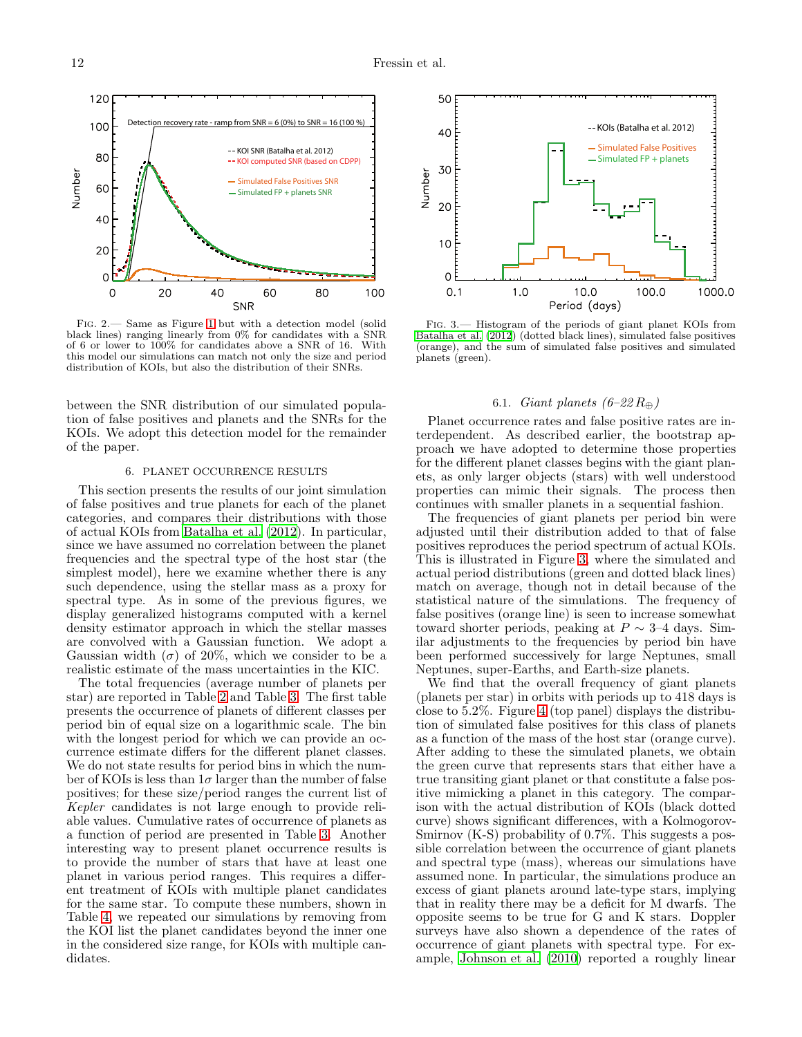

Detection recovery rate - ramp from  $SNR = 6 (0\%)$  to  $SNR = 16$ 

-- KOI computed SNR (based on CDPP) KOI SNR (Batalha et al. 2012)

<span id="page-11-2"></span>black lines) ranging linearly from 0% for candidates with a SNR of 6 or lower to 100% for candidates above a SNR of 16. With this model our simulations can match not only the size and period distribution of KOIs, but also the distribution of their SNRs.

between the SNR distribution of our simulated population of false positives and planets and the SNRs for the KOIs. We adopt this detection model for the remainder of the paper.

### 6. PLANET OCCURRENCE RESULTS

<span id="page-11-0"></span>This section presents the results of our joint simulation of false positives and true planets for each of the planet categories, and compares their distributions with those of actual KOIs from [Batalha et al. \(2012\)](#page-17-1). In particular, since we have assumed no correlation between the planet frequencies and the spectral type of the host star (the simplest model), here we examine whether there is any such dependence, using the stellar mass as a proxy for spectral type. As in some of the previous figures, we display generalized histograms computed with a kernel density estimator approach in which the stellar masses are convolved with a Gaussian function. We adopt a Gaussian width  $(\sigma)$  of 20%, which we consider to be a realistic estimate of the mass uncertainties in the KIC.

The total frequencies (average number of planets per star) are reported in Table [2](#page-19-1) and Table [3.](#page-19-2) The first table presents the occurrence of planets of different classes per period bin of equal size on a logarithmic scale. The bin with the longest period for which we can provide an occurrence estimate differs for the different planet classes. We do not state results for period bins in which the number of KOIs is less than  $1\sigma$  larger than the number of false positives; for these size/period ranges the current list of Kepler candidates is not large enough to provide reliable values. Cumulative rates of occurrence of planets as a function of period are presented in Table [3.](#page-19-2) Another interesting way to present planet occurrence results is to provide the number of stars that have at least one planet in various period ranges. This requires a different treatment of KOIs with multiple planet candidates for the same star. To compute these numbers, shown in Table [4,](#page-20-0) we repeated our simulations by removing from the KOI list the planet candidates beyond the inner one in the considered size range, for KOIs with multiple candidates.



<span id="page-11-3"></span>Fig. 3.— Histogram of the periods of giant planet KOIs from [Batalha et al. \(2012](#page-17-1)) (dotted black lines), simulated false positives (orange), and the sum of simulated false positives and simulated planets (green).

## 6.1. *Giant planets*  $(6-22 R_{\oplus})$

<span id="page-11-1"></span>Planet occurrence rates and false positive rates are interdependent. As described earlier, the bootstrap approach we have adopted to determine those properties for the different planet classes begins with the giant planets, as only larger objects (stars) with well understood properties can mimic their signals. The process then continues with smaller planets in a sequential fashion.

The frequencies of giant planets per period bin were adjusted until their distribution added to that of false positives reproduces the period spectrum of actual KOIs. This is illustrated in Figure [3,](#page-11-3) where the simulated and actual period distributions (green and dotted black lines) match on average, though not in detail because of the statistical nature of the simulations. The frequency of false positives (orange line) is seen to increase somewhat toward shorter periods, peaking at  $P \sim 3-4$  days. Similar adjustments to the frequencies by period bin have been performed successively for large Neptunes, small Neptunes, super-Earths, and Earth-size planets.

We find that the overall frequency of giant planets (planets per star) in orbits with periods up to 418 days is close to 5.2%. Figure [4](#page-12-0) (top panel) displays the distribution of simulated false positives for this class of planets as a function of the mass of the host star (orange curve). After adding to these the simulated planets, we obtain the green curve that represents stars that either have a true transiting giant planet or that constitute a false positive mimicking a planet in this category. The comparison with the actual distribution of KOIs (black dotted curve) shows significant differences, with a Kolmogorov-Smirnov (K-S) probability of 0.7%. This suggests a possible correlation between the occurrence of giant planets and spectral type (mass), whereas our simulations have assumed none. In particular, the simulations produce an excess of giant planets around late-type stars, implying that in reality there may be a deficit for M dwarfs. The opposite seems to be true for G and K stars. Doppler surveys have also shown a dependence of the rates of occurrence of giant planets with spectral type. For example, [Johnson et al. \(2010\)](#page-18-25) reported a roughly linear

120

100

80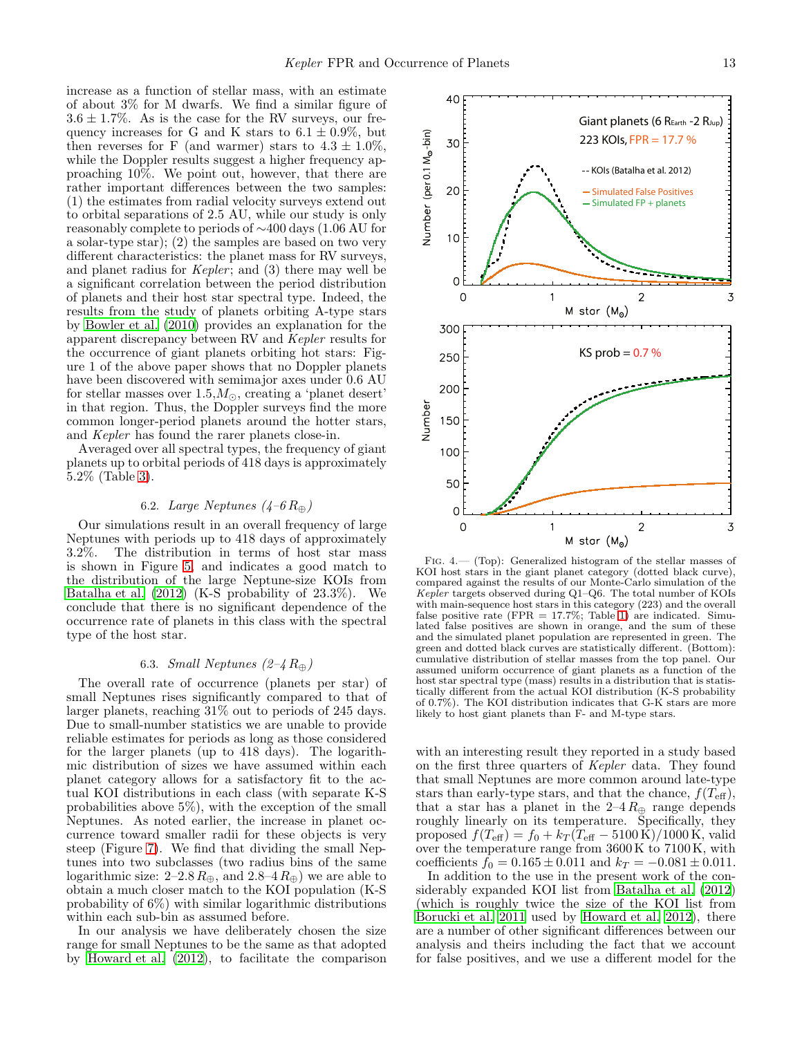40

<span id="page-12-0"></span> $\hbox{O}$ 

increase as a function of stellar mass, with an estimate of about 3% for M dwarfs. We find a similar figure of  $3.6 \pm 1.7\%$ . As is the case for the RV surveys, our frequency increases for G and K stars to  $6.1 \pm 0.9\%$ , but then reverses for F (and warmer) stars to  $4.3 \pm 1.0\%$ , while the Doppler results suggest a higher frequency approaching 10%. We point out, however, that there are rather important differences between the two samples: (1) the estimates from radial velocity surveys extend out to orbital separations of 2.5 AU, while our study is only reasonably complete to periods of ∼400 days (1.06 AU for a solar-type star); (2) the samples are based on two very different characteristics: the planet mass for RV surveys, and planet radius for *Kepler*; and  $(3)$  there may well be a significant correlation between the period distribution of planets and their host star spectral type. Indeed, the results from the study of planets orbiting A-type stars by [Bowler et al. \(2010\)](#page-17-12) provides an explanation for the apparent discrepancy between RV and Kepler results for the occurrence of giant planets orbiting hot stars: Figure 1 of the above paper shows that no Doppler planets have been discovered with semimajor axes under 0.6 AU for stellar masses over  $1.5, M_{\odot}$ , creating a 'planet desert' in that region. Thus, the Doppler surveys find the more common longer-period planets around the hotter stars, and Kepler has found the rarer planets close-in.

Averaged over all spectral types, the frequency of giant planets up to orbital periods of 418 days is approximately 5.2% (Table [3\)](#page-19-2).

## 6.2. Large Neptunes  $(4-6 R<sub>⊕</sub>)$

Our simulations result in an overall frequency of large Neptunes with periods up to 418 days of approximately 3.2%. The distribution in terms of host star mass is shown in Figure [5,](#page-13-0) and indicates a good match to the distribution of the large Neptune-size KOIs from [Batalha et al. \(2012](#page-17-1)) (K-S probability of 23.3%). We conclude that there is no significant dependence of the occurrence rate of planets in this class with the spectral type of the host star.

## 6.3. *Small Neptunes*  $(2-4 R<sub>⊕</sub>)$

The overall rate of occurrence (planets per star) of small Neptunes rises significantly compared to that of larger planets, reaching 31% out to periods of 245 days. Due to small-number statistics we are unable to provide reliable estimates for periods as long as those considered for the larger planets (up to 418 days). The logarithmic distribution of sizes we have assumed within each planet category allows for a satisfactory fit to the actual KOI distributions in each class (with separate K-S probabilities above 5%), with the exception of the small Neptunes. As noted earlier, the increase in planet occurrence toward smaller radii for these objects is very steep (Figure [7\)](#page-14-1). We find that dividing the small Neptunes into two subclasses (two radius bins of the same logarithmic size:  $2-2.8 R_{\oplus}$ , and  $2.8-4 R_{\oplus}$ ) we are able to obtain a much closer match to the KOI population (K-S probability of 6%) with similar logarithmic distributions within each sub-bin as assumed before.

In our analysis we have deliberately chosen the size range for small Neptunes to be the same as that adopted by [Howard et al. \(2012\)](#page-18-5), to facilitate the comparison

Fig. 4.— (Top): Generalized histogram of the stellar masses of KOI host stars in the giant planet category (dotted black curve), compared against the results of our Monte-Carlo simulation of the Kepler targets observed during Q1–Q6. The total number of KOIs with main-sequence host stars in this category (223) and the overall false positive rate (FPR  $= 17.7\%$ ; Table [1\)](#page-19-0) are indicated. Simulated false positives are shown in orange, and the sum of these and the simulated planet population are represented in green. The green and dotted black curves are statistically different. (Bottom): cumulative distribution of stellar masses from the top panel. Our assumed uniform occurrence of giant planets as a function of the host star spectral type (mass) results in a distribution that is statistically different from the actual KOI distribution (K-S probability of 0.7%). The KOI distribution indicates that G-K stars are more likely to host giant planets than F- and M-type stars.

M star  $(M_0)$ 

 $\overline{c}$ 

 $\mathbf 1$ 

with an interesting result they reported in a study based on the first three quarters of Kepler data. They found that small Neptunes are more common around late-type stars than early-type stars, and that the chance,  $f(T_{\text{eff}})$ , that a star has a planet in the  $2-4 R_{\oplus}$  range depends roughly linearly on its temperature. Specifically, they proposed  $f(T_{\text{eff}}) = f_0 + k_T (T_{\text{eff}} - 5100 \text{ K})/1000 \text{ K}$ , valid over the temperature range from 3600 K to 7100 K, with coefficients  $f_0 = 0.165 \pm 0.011$  and  $k_T = -0.081 \pm 0.011$ .

In addition to the use in the present work of the considerably expanded KOI list from [Batalha et al. \(2012](#page-17-1)) (which is roughly twice the size of the KOI list from [Borucki et al. 2011](#page-17-0) used by [Howard et al. 2012](#page-18-5)), there are a number of other significant differences between our analysis and theirs including the fact that we account for false positives, and we use a different model for the



 $\overline{3}$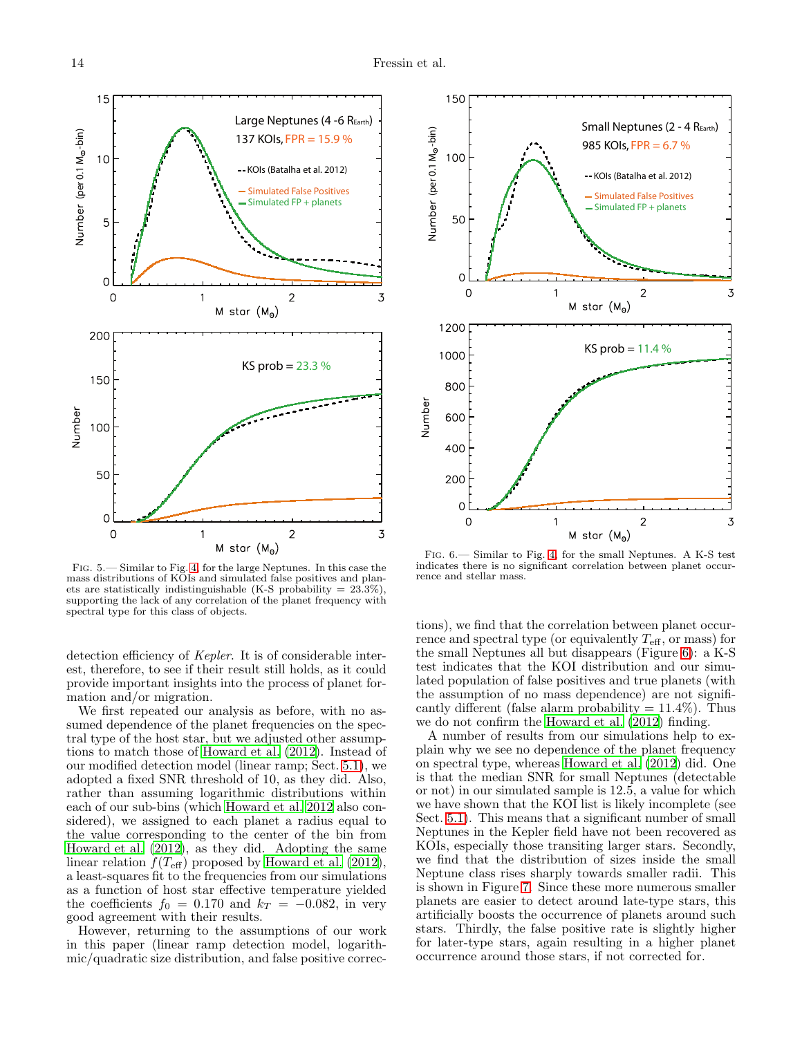

<span id="page-13-0"></span>Fig. 5.— Similar to Fig. [4,](#page-12-0) for the large Neptunes. In this case the mass distributions of KOIs and simulated false positives and planets are statistically indistinguishable (K-S probability  $= 23.3\%)$ supporting the lack of any correlation of the planet frequency with spectral type for this class of objects.

detection efficiency of *Kepler*. It is of considerable interest, therefore, to see if their result still holds, as it could provide important insights into the process of planet formation and/or migration.

We first repeated our analysis as before, with no assumed dependence of the planet frequencies on the spectral type of the host star, but we adjusted other assumptions to match those of [Howard et al. \(2012\)](#page-18-5). Instead of our modified detection model (linear ramp; Sect. [5.1\)](#page-9-1), we adopted a fixed SNR threshold of 10, as they did. Also, rather than assuming logarithmic distributions within each of our sub-bins (which [Howard et al. 2012](#page-18-5) also considered), we assigned to each planet a radius equal to the value corresponding to the center of the bin from [Howard et al. \(2012\)](#page-18-5), as they did. Adopting the same linear relation  $f(T_{\text{eff}})$  proposed by [Howard et al. \(2012\)](#page-18-5), a least-squares fit to the frequencies from our simulations as a function of host star effective temperature yielded the coefficients  $f_0 = 0.170$  and  $k_T = -0.082$ , in very good agreement with their results.

However, returning to the assumptions of our work in this paper (linear ramp detection model, logarithmic/quadratic size distribution, and false positive correc-



<span id="page-13-1"></span>Fig. 6.— Similar to Fig. [4,](#page-12-0) for the small Neptunes. A K-S test indicates there is no significant correlation between planet occurrence and stellar mass.

tions), we find that the correlation between planet occurrence and spectral type (or equivalently  $T_{\text{eff}}$ , or mass) for the small Neptunes all but disappears (Figure [6\)](#page-13-1): a K-S test indicates that the KOI distribution and our simulated population of false positives and true planets (with the assumption of no mass dependence) are not significantly different (false alarm probability  $= 11.4\%$ ). Thus we do not confirm the [Howard et al. \(2012](#page-18-5)) finding.

A number of results from our simulations help to explain why we see no dependence of the planet frequency on spectral type, whereas [Howard et al. \(2012\)](#page-18-5) did. One is that the median SNR for small Neptunes (detectable or not) in our simulated sample is 12.5, a value for which we have shown that the KOI list is likely incomplete (see Sect. [5.1\)](#page-9-1). This means that a significant number of small Neptunes in the Kepler field have not been recovered as KOIs, especially those transiting larger stars. Secondly, we find that the distribution of sizes inside the small Neptune class rises sharply towards smaller radii. This is shown in Figure [7.](#page-14-1) Since these more numerous smaller planets are easier to detect around late-type stars, this artificially boosts the occurrence of planets around such stars. Thirdly, the false positive rate is slightly higher for later-type stars, again resulting in a higher planet occurrence around those stars, if not corrected for.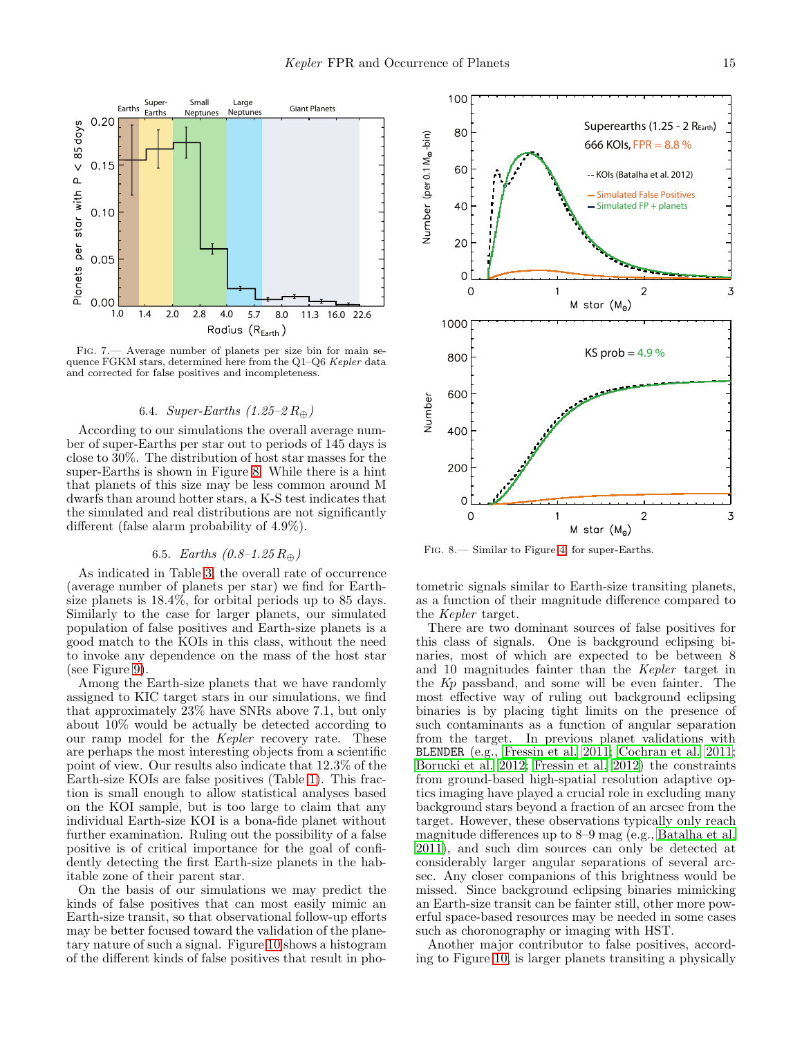

Fig. 7.— Average number of planets per size bin for main sequence FGKM stars, determined here from the Q1-Q6 Kepler data and corrected for false positives and incompleteness.

## <span id="page-14-1"></span>6.4. Super-Earths  $(1.25-2 R_{\oplus})$

<span id="page-14-0"></span>According to our simulations the overall average number of super-Earths per star out to periods of 145 days is close to 30%. The distribution of host star masses for the super-Earths is shown in Figure [8.](#page-14-2) While there is a hint that planets of this size may be less common around M dwarfs than around hotter stars, a K-S test indicates that the simulated and real distributions are not significantly different (false alarm probability of 4.9%).

## 6.5. Earths  $(0.8-1.25 R_{\oplus})$

As indicated in Table [3,](#page-19-2) the overall rate of occurrence (average number of planets per star) we find for Earthsize planets is 18.4%, for orbital periods up to 85 days. Similarly to the case for larger planets, our simulated population of false positives and Earth-size planets is a good match to the KOIs in this class, without the need to invoke any dependence on the mass of the host star (see Figure [9\)](#page-15-2).

Among the Earth-size planets that we have randomly assigned to KIC target stars in our simulations, we find that approximately 23% have SNRs above 7.1, but only about 10% would be actually be detected according to our ramp model for the Kepler recovery rate. These are perhaps the most interesting objects from a scientific point of view. Our results also indicate that 12.3% of the Earth-size KOIs are false positives (Table [1\)](#page-19-0). This fraction is small enough to allow statistical analyses based on the KOI sample, but is too large to claim that any individual Earth-size KOI is a bona-fide planet without further examination. Ruling out the possibility of a false positive is of critical importance for the goal of confidently detecting the first Earth-size planets in the habitable zone of their parent star.

On the basis of our simulations we may predict the kinds of false positives that can most easily mimic an Earth-size transit, so that observational follow-up efforts may be better focused toward the validation of the planetary nature of such a signal. Figure [10](#page-15-3) shows a histogram of the different kinds of false positives that result in pho-



<span id="page-14-2"></span>Fig. 8.— Similar to Figure [4,](#page-12-0) for super-Earths.

tometric signals similar to Earth-size transiting planets, as a function of their magnitude difference compared to the Kepler target.

There are two dominant sources of false positives for this class of signals. One is background eclipsing binaries, most of which are expected to be between 8 and 10 magnitudes fainter than the Kepler target in the Kp passband, and some will be even fainter. The most effective way of ruling out background eclipsing binaries is by placing tight limits on the presence of such contaminants as a function of angular separation from the target. In previous planet validations with BLENDER (e.g., [Fressin et al. 2011](#page-18-2); [Cochran et al. 2011](#page-17-4); [Borucki et al. 2012](#page-17-6); [Fressin et al. 2012](#page-18-26)) the constraints from ground-based high-spatial resolution adaptive optics imaging have played a crucial role in excluding many background stars beyond a fraction of an arcsec from the target. However, these observations typically only reach magnitude differences up to 8–9 mag (e.g., [Batalha et al.](#page-17-3) [2011\)](#page-17-3), and such dim sources can only be detected at considerably larger angular separations of several arcsec. Any closer companions of this brightness would be missed. Since background eclipsing binaries mimicking an Earth-size transit can be fainter still, other more powerful space-based resources may be needed in some cases such as choronography or imaging with HST.

Another major contributor to false positives, according to Figure [10,](#page-15-3) is larger planets transiting a physically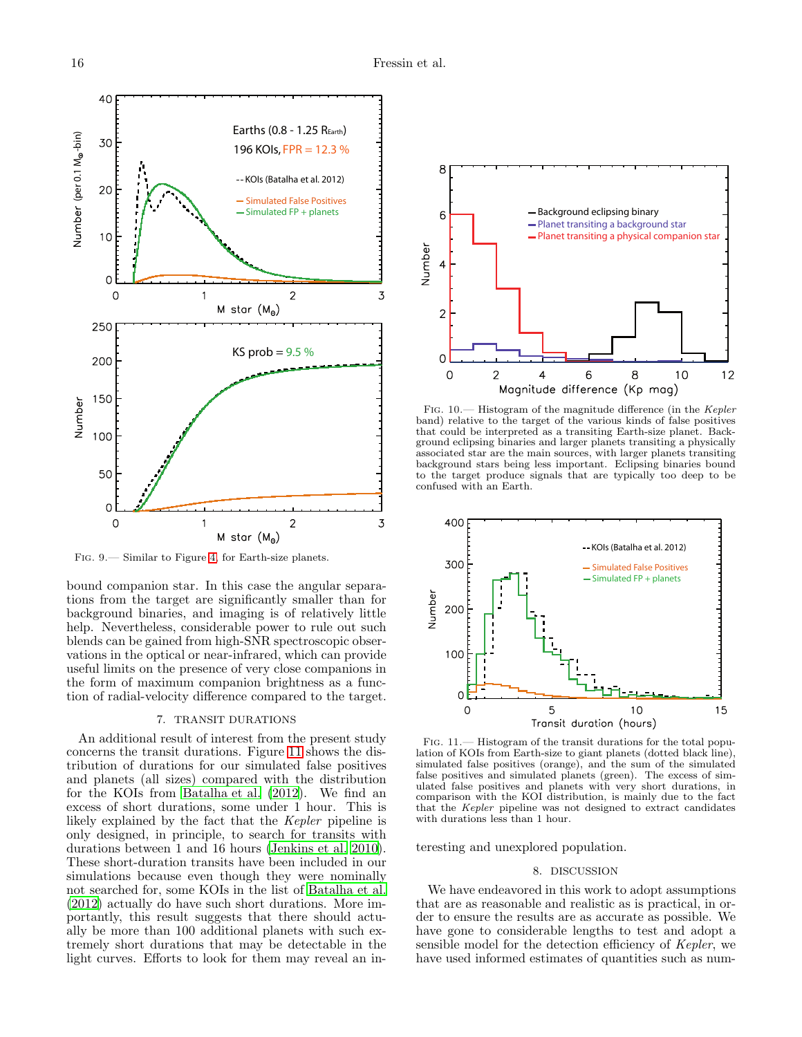

<span id="page-15-2"></span>Fig. 9.— Similar to Figure [4,](#page-12-0) for Earth-size planets.

bound companion star. In this case the angular separations from the target are significantly smaller than for background binaries, and imaging is of relatively little help. Nevertheless, considerable power to rule out such blends can be gained from high-SNR spectroscopic observations in the optical or near-infrared, which can provide useful limits on the presence of very close companions in the form of maximum companion brightness as a function of radial-velocity difference compared to the target.

### 7. TRANSIT DURATIONS

<span id="page-15-0"></span>An additional result of interest from the present study concerns the transit durations. Figure [11](#page-15-4) shows the distribution of durations for our simulated false positives and planets (all sizes) compared with the distribution for the KOIs from [Batalha et al. \(2012\)](#page-17-1). We find an excess of short durations, some under 1 hour. This is likely explained by the fact that the Kepler pipeline is only designed, in principle, to search for transits with durations between 1 and 16 hours [\(Jenkins et al. 2010\)](#page-18-17). These short-duration transits have been included in our simulations because even though they were nominally not searched for, some KOIs in the list of [Batalha et al.](#page-17-1) [\(2012\)](#page-17-1) actually do have such short durations. More importantly, this result suggests that there should actually be more than 100 additional planets with such extremely short durations that may be detectable in the light curves. Efforts to look for them may reveal an in-



<span id="page-15-3"></span>Fig. 10.— Histogram of the magnitude difference (in the Kepler band) relative to the target of the various kinds of false positives that could be interpreted as a transiting Earth-size planet. Background eclipsing binaries and larger planets transiting a physically associated star are the main sources, with larger planets transiting background stars being less important. Eclipsing binaries bound to the target produce signals that are typically too deep to be confused with an Earth.



<span id="page-15-4"></span>Fig. 11.— Histogram of the transit durations for the total population of KOIs from Earth-size to giant planets (dotted black line), simulated false positives (orange), and the sum of the simulated false positives and simulated planets (green). The excess of simulated false positives and planets with very short durations, in comparison with the KOI distribution, is mainly due to the fact that the Kepler pipeline was not designed to extract candidates with durations less than 1 hour.

<span id="page-15-1"></span>teresting and unexplored population.

### 8. DISCUSSION

We have endeavored in this work to adopt assumptions that are as reasonable and realistic as is practical, in order to ensure the results are as accurate as possible. We have gone to considerable lengths to test and adopt a sensible model for the detection efficiency of Kepler, we have used informed estimates of quantities such as num-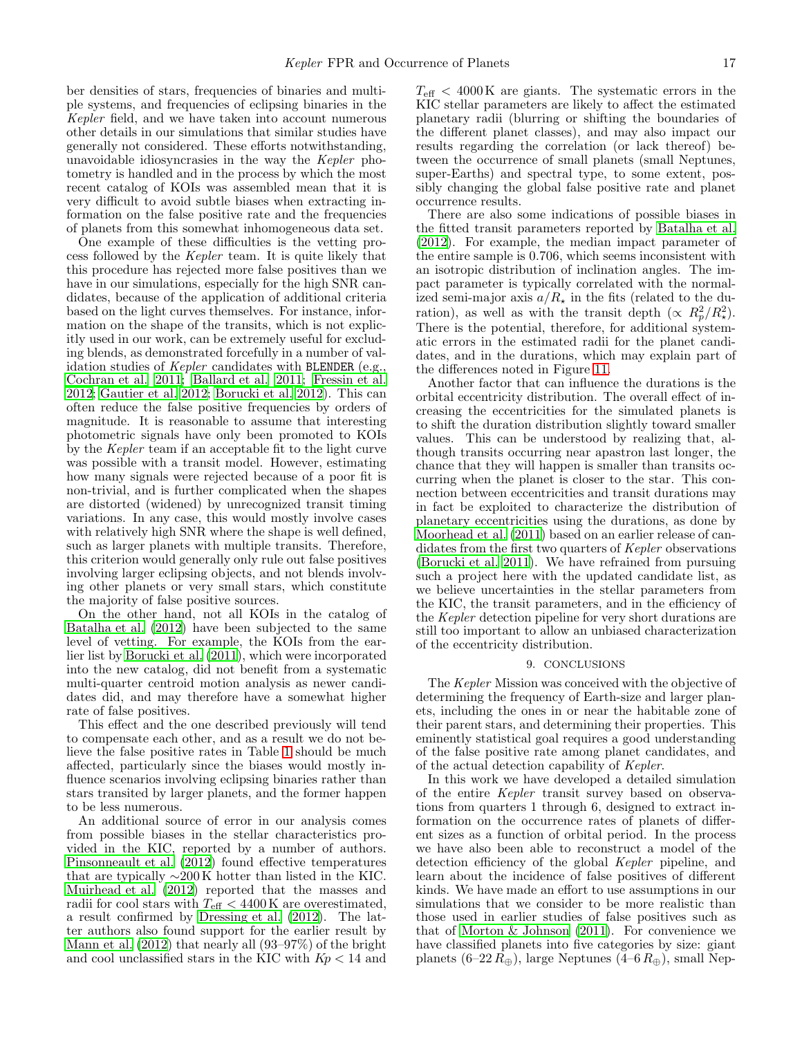ber densities of stars, frequencies of binaries and multiple systems, and frequencies of eclipsing binaries in the Kepler field, and we have taken into account numerous other details in our simulations that similar studies have generally not considered. These efforts notwithstanding, unavoidable idiosyncrasies in the way the Kepler photometry is handled and in the process by which the most recent catalog of KOIs was assembled mean that it is very difficult to avoid subtle biases when extracting information on the false positive rate and the frequencies of planets from this somewhat inhomogeneous data set.

One example of these difficulties is the vetting process followed by the Kepler team. It is quite likely that this procedure has rejected more false positives than we have in our simulations, especially for the high SNR candidates, because of the application of additional criteria based on the light curves themselves. For instance, information on the shape of the transits, which is not explicitly used in our work, can be extremely useful for excluding blends, as demonstrated forcefully in a number of validation studies of Kepler candidates with BLENDER (e.g., [Cochran et al. 2011;](#page-17-4) [Ballard et al. 2011;](#page-17-5) [Fressin et al.](#page-18-6) [2012;](#page-18-6) [Gautier et al. 2012;](#page-18-7) [Borucki et al. 2012\)](#page-17-6). This can often reduce the false positive frequencies by orders of magnitude. It is reasonable to assume that interesting photometric signals have only been promoted to KOIs by the Kepler team if an acceptable fit to the light curve was possible with a transit model. However, estimating how many signals were rejected because of a poor fit is non-trivial, and is further complicated when the shapes are distorted (widened) by unrecognized transit timing variations. In any case, this would mostly involve cases with relatively high SNR where the shape is well defined, such as larger planets with multiple transits. Therefore, this criterion would generally only rule out false positives involving larger eclipsing objects, and not blends involving other planets or very small stars, which constitute the majority of false positive sources.

On the other hand, not all KOIs in the catalog of [Batalha et al. \(2012\)](#page-17-1) have been subjected to the same level of vetting. For example, the KOIs from the earlier list by [Borucki et al. \(2011](#page-17-0)), which were incorporated into the new catalog, did not benefit from a systematic multi-quarter centroid motion analysis as newer candidates did, and may therefore have a somewhat higher rate of false positives.

This effect and the one described previously will tend to compensate each other, and as a result we do not believe the false positive rates in Table [1](#page-19-0) should be much affected, particularly since the biases would mostly influence scenarios involving eclipsing binaries rather than stars transited by larger planets, and the former happen to be less numerous.

An additional source of error in our analysis comes from possible biases in the stellar characteristics provided in the KIC, reported by a number of authors. [Pinsonneault et al. \(2012](#page-18-27)) found effective temperatures that are typically  $\sim$ 200 K hotter than listed in the KIC. [Muirhead et al. \(2012\)](#page-18-28) reported that the masses and radii for cool stars with  $T_{\text{eff}} < 4400 \,\text{K}$  are overestimated, a result confirmed by [Dressing et al. \(2012](#page-17-13)). The latter authors also found support for the earlier result by [Mann et al. \(2012\)](#page-18-29) that nearly all (93–97%) of the bright and cool unclassified stars in the KIC with  $Kp < 14$  and

 $T_{\text{eff}} < 4000 \,\text{K}$  are giants. The systematic errors in the KIC stellar parameters are likely to affect the estimated planetary radii (blurring or shifting the boundaries of the different planet classes), and may also impact our results regarding the correlation (or lack thereof) between the occurrence of small planets (small Neptunes, super-Earths) and spectral type, to some extent, possibly changing the global false positive rate and planet occurrence results.

There are also some indications of possible biases in the fitted transit parameters reported by [Batalha et al.](#page-17-1) [\(2012\)](#page-17-1). For example, the median impact parameter of the entire sample is 0.706, which seems inconsistent with an isotropic distribution of inclination angles. The impact parameter is typically correlated with the normalized semi-major axis  $a/R_{\star}$  in the fits (related to the duration), as well as with the transit depth  $(\propto R_p^2/R_\star^2)$ . There is the potential, therefore, for additional systematic errors in the estimated radii for the planet candidates, and in the durations, which may explain part of the differences noted in Figure [11.](#page-15-4)

Another factor that can influence the durations is the orbital eccentricity distribution. The overall effect of increasing the eccentricities for the simulated planets is to shift the duration distribution slightly toward smaller values. This can be understood by realizing that, although transits occurring near apastron last longer, the chance that they will happen is smaller than transits occurring when the planet is closer to the star. This connection between eccentricities and transit durations may in fact be exploited to characterize the distribution of planetary eccentricities using the durations, as done by [Moorhead et al. \(2011](#page-18-23)) based on an earlier release of candidates from the first two quarters of Kepler observations [\(Borucki et al. 2011\)](#page-17-0). We have refrained from pursuing such a project here with the updated candidate list, as we believe uncertainties in the stellar parameters from the KIC, the transit parameters, and in the efficiency of the Kepler detection pipeline for very short durations are still too important to allow an unbiased characterization of the eccentricity distribution.

#### 9. CONCLUSIONS

<span id="page-16-0"></span>The Kepler Mission was conceived with the objective of determining the frequency of Earth-size and larger planets, including the ones in or near the habitable zone of their parent stars, and determining their properties. This eminently statistical goal requires a good understanding of the false positive rate among planet candidates, and of the actual detection capability of Kepler.

In this work we have developed a detailed simulation of the entire Kepler transit survey based on observations from quarters 1 through 6, designed to extract information on the occurrence rates of planets of different sizes as a function of orbital period. In the process we have also been able to reconstruct a model of the detection efficiency of the global Kepler pipeline, and learn about the incidence of false positives of different kinds. We have made an effort to use assumptions in our simulations that we consider to be more realistic than those used in earlier studies of false positives such as that of Morton  $&$  Johnson (2011). For convenience we have classified planets into five categories by size: giant planets  $(6–22 R_{\oplus})$ , large Neptunes  $(4–6 R_{\oplus})$ , small Nep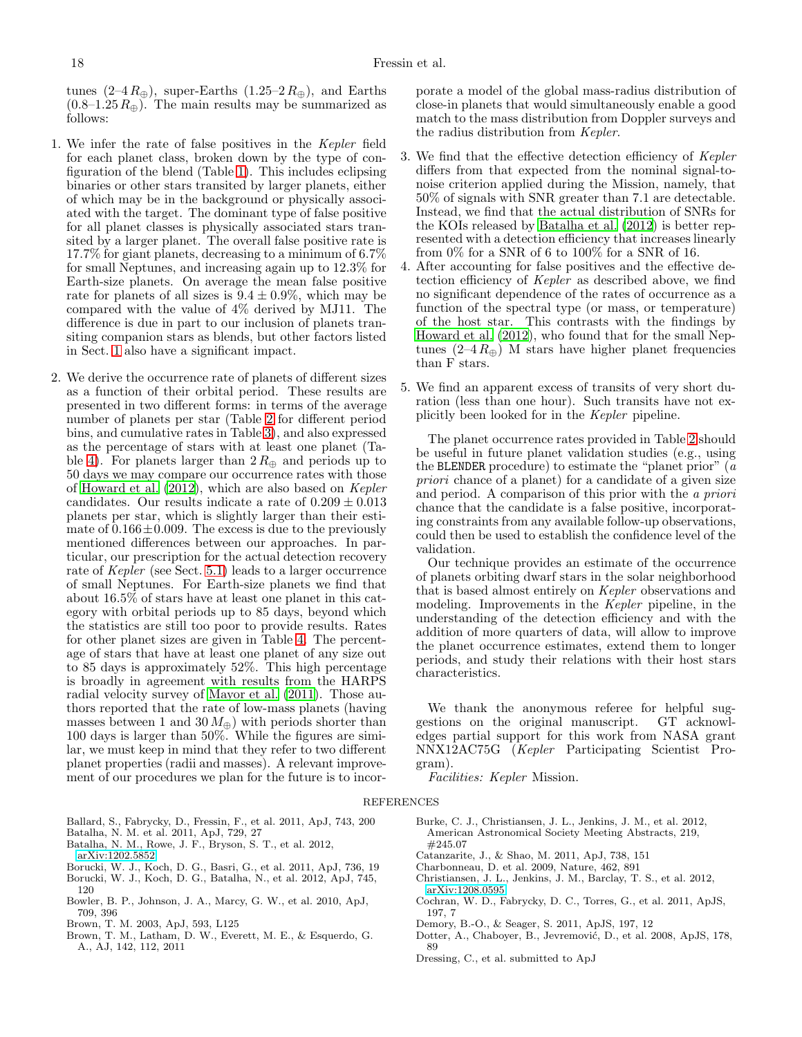tunes  $(2-4R_{\oplus})$ , super-Earths  $(1.25-2R_{\oplus})$ , and Earths  $(0.8-1.25 R_{\oplus})$ . The main results may be summarized as follows:

- 1. We infer the rate of false positives in the Kepler field for each planet class, broken down by the type of configuration of the blend (Table [1\)](#page-19-0). This includes eclipsing binaries or other stars transited by larger planets, either of which may be in the background or physically associated with the target. The dominant type of false positive for all planet classes is physically associated stars transited by a larger planet. The overall false positive rate is 17.7% for giant planets, decreasing to a minimum of 6.7% for small Neptunes, and increasing again up to 12.3% for Earth-size planets. On average the mean false positive rate for planets of all sizes is  $9.4 \pm 0.9\%$ , which may be compared with the value of 4% derived by MJ11. The difference is due in part to our inclusion of planets transiting companion stars as blends, but other factors listed in Sect. [1](#page-0-0) also have a significant impact.
- 2. We derive the occurrence rate of planets of different sizes as a function of their orbital period. These results are presented in two different forms: in terms of the average number of planets per star (Table [2](#page-19-1) for different period bins, and cumulative rates in Table [3\)](#page-19-2), and also expressed as the percentage of stars with at least one planet (Ta-ble [4\)](#page-20-0). For planets larger than  $2 R_{\oplus}$  and periods up to 50 days we may compare our occurrence rates with those of [Howard et al. \(2012\)](#page-18-5), which are also based on Kepler candidates. Our results indicate a rate of  $0.209 \pm 0.013$ planets per star, which is slightly larger than their estimate of  $0.166 \pm 0.009$ . The excess is due to the previously mentioned differences between our approaches. In particular, our prescription for the actual detection recovery rate of Kepler (see Sect. [5.1\)](#page-9-1) leads to a larger occurrence of small Neptunes. For Earth-size planets we find that about 16.5% of stars have at least one planet in this category with orbital periods up to 85 days, beyond which the statistics are still too poor to provide results. Rates for other planet sizes are given in Table [4.](#page-20-0) The percentage of stars that have at least one planet of any size out to 85 days is approximately 52%. This high percentage is broadly in agreement with results from the HARPS radial velocity survey of [Mayor et al. \(2011\)](#page-18-30). Those authors reported that the rate of low-mass planets (having masses between 1 and  $30 M_{\oplus}$ ) with periods shorter than 100 days is larger than 50%. While the figures are similar, we must keep in mind that they refer to two different planet properties (radii and masses). A relevant improvement of our procedures we plan for the future is to incor-

porate a model of the global mass-radius distribution of close-in planets that would simultaneously enable a good match to the mass distribution from Doppler surveys and the radius distribution from Kepler.

- 3. We find that the effective detection efficiency of Kepler differs from that expected from the nominal signal-tonoise criterion applied during the Mission, namely, that 50% of signals with SNR greater than 7.1 are detectable. Instead, we find that the actual distribution of SNRs for the KOIs released by [Batalha et al. \(2012\)](#page-17-1) is better represented with a detection efficiency that increases linearly from 0% for a SNR of 6 to 100% for a SNR of 16.
- 4. After accounting for false positives and the effective detection efficiency of Kepler as described above, we find no significant dependence of the rates of occurrence as a function of the spectral type (or mass, or temperature) of the host star. This contrasts with the findings by [Howard et al. \(2012\)](#page-18-5), who found that for the small Neptunes  $(2-4 R_{\oplus})$  M stars have higher planet frequencies than F stars.
- 5. We find an apparent excess of transits of very short duration (less than one hour). Such transits have not explicitly been looked for in the Kepler pipeline.

The planet occurrence rates provided in Table [2](#page-19-1) should be useful in future planet validation studies (e.g., using the BLENDER procedure) to estimate the "planet prior"  $(a)$ priori chance of a planet) for a candidate of a given size and period. A comparison of this prior with the a priori chance that the candidate is a false positive, incorporating constraints from any available follow-up observations, could then be used to establish the confidence level of the validation.

Our technique provides an estimate of the occurrence of planets orbiting dwarf stars in the solar neighborhood that is based almost entirely on Kepler observations and modeling. Improvements in the Kepler pipeline, in the understanding of the detection efficiency and with the addition of more quarters of data, will allow to improve the planet occurrence estimates, extend them to longer periods, and study their relations with their host stars characteristics.

We thank the anonymous referee for helpful suggestions on the original manuscript. GT acknowledges partial support for this work from NASA grant NNX12AC75G (Kepler Participating Scientist Program).

Facilities: Kepler Mission.

### REFERENCES

- <span id="page-17-5"></span>Ballard, S., Fabrycky, D., Fressin, F., et al. 2011, ApJ, 743, 200
- <span id="page-17-3"></span>Batalha, N. M. et al. 2011, ApJ, 729, 27
- <span id="page-17-1"></span>Batalha, N. M., Rowe, J. F., Bryson, S. T., et al. 2012,
- [arXiv:1202.5852](http://arxiv.org/abs/1202.5852)
- <span id="page-17-0"></span>Borucki, W. J., Koch, D. G., Basri, G., et al. 2011, ApJ, 736, 19
- <span id="page-17-6"></span>Borucki, W. J., Koch, D. G., Batalha, N., et al. 2012, ApJ, 745, 120
- <span id="page-17-12"></span>Bowler, B. P., Johnson, J. A., Marcy, G. W., et al. 2010, ApJ, 709, 396
- <span id="page-17-2"></span>Brown, T. M. 2003, ApJ, 593, L125
- <span id="page-17-9"></span>Brown, T. M., Latham, D. W., Everett, M. E., & Esquerdo, G. A., AJ, 142, 112, 2011
- <span id="page-17-10"></span>Burke, C. J., Christiansen, J. L., Jenkins, J. M., et al. 2012, American Astronomical Society Meeting Abstracts, 219, #245.07
- <span id="page-17-8"></span>Catanzarite, J., & Shao, M. 2011, ApJ, 738, 151
- Charbonneau, D. et al. 2009, Nature, 462, 891
- <span id="page-17-11"></span>Christiansen, J. L., Jenkins, J. M., Barclay, T. S., et al. 2012, [arXiv:1208.0595](http://arxiv.org/abs/1208.0595)
- <span id="page-17-4"></span>Cochran, W. D., Fabrycky, D. C., Torres, G., et al. 2011, ApJS, 197, 7
- <span id="page-17-7"></span>Demory, B.-O., & Seager, S. 2011, ApJS, 197, 12
- Dotter, A., Chaboyer, B., Jevremović, D., et al. 2008, ApJS, 178, 89
- <span id="page-17-13"></span>Dressing, C., et al. submitted to ApJ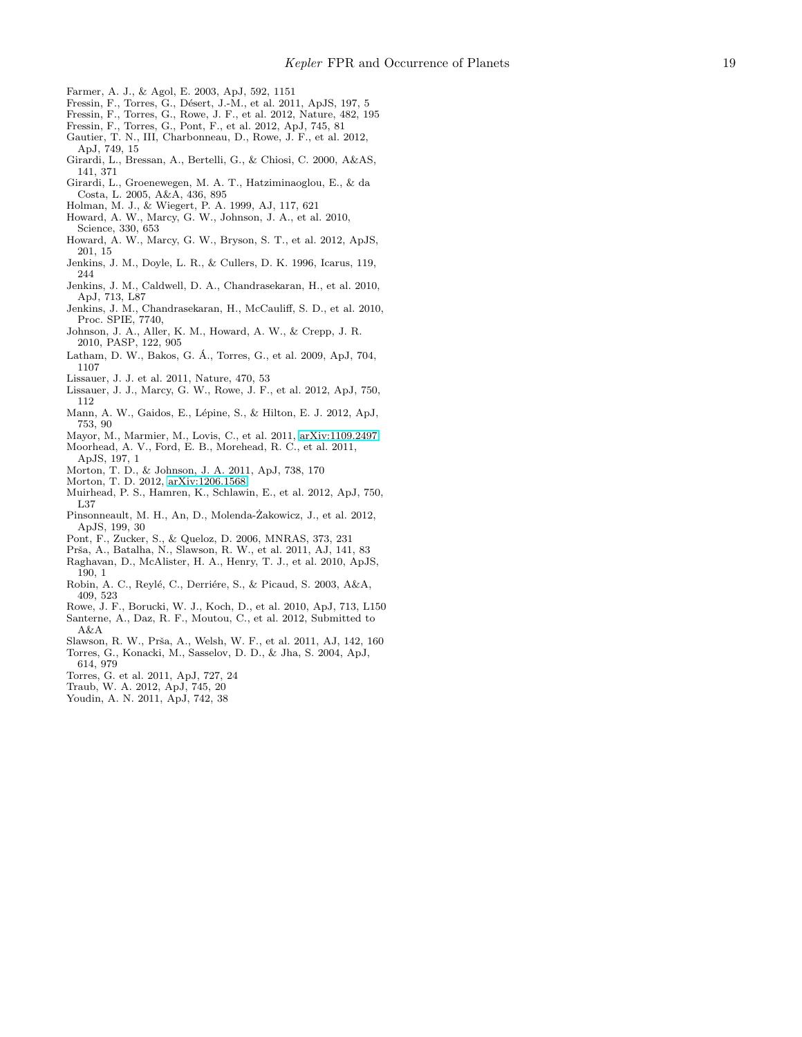- <span id="page-18-21"></span>Farmer, A. J., & Agol, E. 2003, ApJ, 592, 1151
- <span id="page-18-2"></span>Fressin, F., Torres, G., Désert, J.-M., et al. 2011, ApJS, 197, 5
- <span id="page-18-26"></span>Fressin, F., Torres, G., Rowe, J. F., et al. 2012, Nature, 482, 195
- <span id="page-18-7"></span><span id="page-18-6"></span>Fressin, F., Torres, G., Pont, F., et al. 2012, ApJ, 745, 81 Gautier, T. N., III, Charbonneau, D., Rowe, J. F., et al. 2012 , ApJ, 749, 15
- <span id="page-18-19"></span>Girardi, L., Bressan, A., Bertelli, G., & Chiosi, C. 2000, A&AS, 141, 371
- <span id="page-18-22"></span>Girardi, L., Groenewegen, M. A. T., Hatziminaoglou, E., & da Costa, L. 2005, A&A, 436, 895
- <span id="page-18-20"></span>Holman, M. J., & Wiegert, P. A. 1999, AJ, 117, 621
- Howard, A. W., Marcy, G. W., Johnson, J. A., et al. 2010, Science, 330, 653
- <span id="page-18-5"></span>Howard, A. W., Marcy, G. W., Bryson, S. T., et al. 2012, ApJS, 201, 15
- <span id="page-18-16"></span>Jenkins, J. M., Doyle, L. R., & Cullers, D. K. 1996, Icarus, 119, 244
- <span id="page-18-17"></span>Jenkins, J. M., Caldwell, D. A., Chandrasekaran, H., et al. 2010, ApJ, 713, L87
- <span id="page-18-31"></span>Jenkins, J. M., Chandrasekaran, H., McCauliff, S. D., et al. 2010, Proc. SPIE, 7740,
- <span id="page-18-25"></span>Johnson, J. A., Aller, K. M., Howard, A. W., & Crepp, J. R. 2010, PASP, 122, 905
- <span id="page-18-4"></span>Latham, D. W., Bakos, G. A., Torres, G., et al. 2009, ApJ, 704, ´ 1107
- Lissauer, J. J. et al. 2011, Nature, 470, 53
- <span id="page-18-15"></span>Lissauer, J. J., Marcy, G. W., Rowe, J. F., et al. 2012, ApJ, 750, 112
- <span id="page-18-29"></span>Mann, A. W., Gaidos, E., Lépine, S., & Hilton, E. J. 2012, ApJ, 753, 90
- <span id="page-18-30"></span>Mayor, M., Marmier, M., Lovis, C., et al. 2011, [arXiv:1109.2497](http://arxiv.org/abs/1109.2497)
- <span id="page-18-23"></span>Moorhead, A. V., Ford, E. B., Morehead, R. C., et al. 2011, ApJS, 197, 1
- <span id="page-18-3"></span>Morton, T. D., & Johnson, J. A. 2011, ApJ, 738, 170
- <span id="page-18-12"></span>Morton, T. D. 2012, [arXiv:1206.1568](http://arxiv.org/abs/1206.1568)
- <span id="page-18-28"></span>Muirhead, P. S., Hamren, K., Schlawin, E., et al. 2012, ApJ, 750, L37
- <span id="page-18-27"></span>Pinsonneault, M. H., An, D., Molenda-Zakowicz, J., et al. 2012, ApJS, 199, 30
- <span id="page-18-24"></span>Pont, F., Zucker, S., & Queloz, D. 2006, MNRAS, 373, 231
- <span id="page-18-8"></span>Prša, A., Batalha, N., Slawson, R. W., et al. 2011, AJ, 141, 83
- <span id="page-18-10"></span>Raghavan, D., McAlister, H. A., Henry, T. J., et al. 2010, ApJS, 190, 1
- <span id="page-18-18"></span>Robin, A. C., Reylé, C., Derriére, S., & Picaud, S. 2003, A&A, 409, 523
- Rowe, J. F., Borucki, W. J., Koch, D., et al. 2010, ApJ, 713, L150 Santerne, A., Daz, R. F., Moutou, C., et al. 2012, Submitted t o
- <span id="page-18-11"></span>A&A Slawson, R. W., Prša, A., Welsh, W. F., et al. 2011, AJ, 142, 160
- <span id="page-18-9"></span><span id="page-18-0"></span>Torres, G., Konacki, M., Sasselov, D. D., & Jha, S. 2004, ApJ, 614, 979
- <span id="page-18-1"></span>Torres, G. et al. 2011, ApJ, 727, 24
- <span id="page-18-13"></span>Traub, W. A. 2012, ApJ, 745, 20
- <span id="page-18-14"></span>Youdin, A. N. 2011, ApJ, 742, 38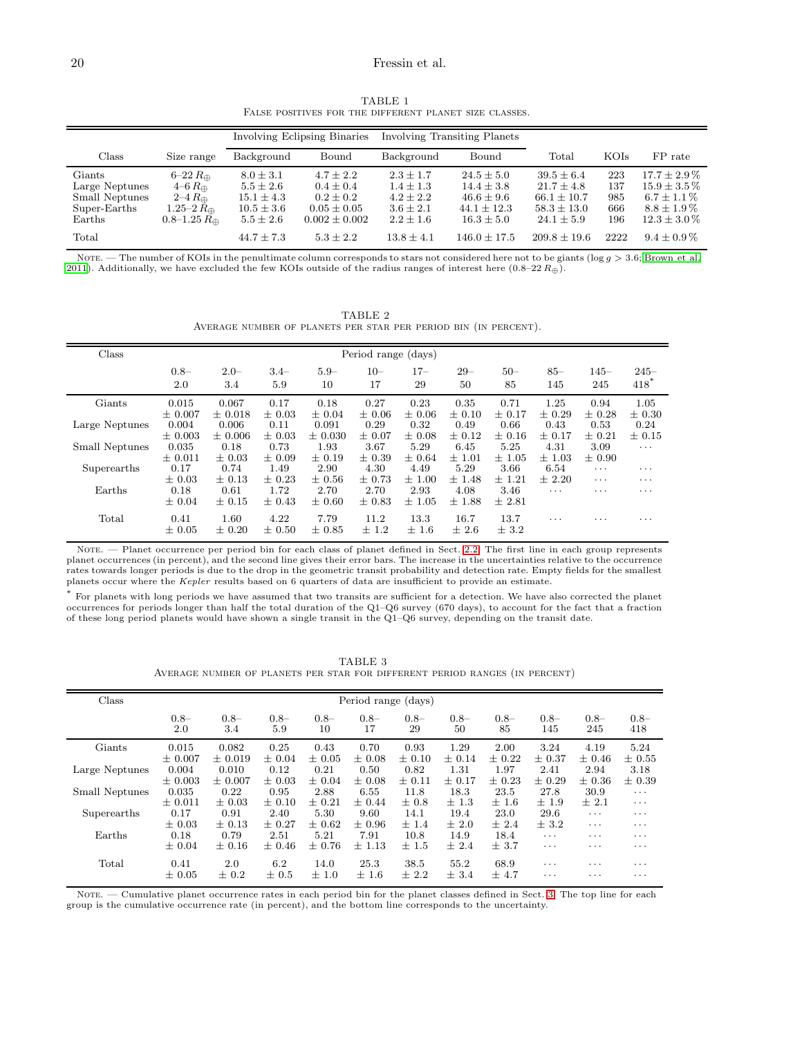## <span id="page-19-0"></span>20 Fressin et al.

TABLE 1 FALSE POSITIVES FOR THE DIFFERENT PLANET SIZE CLASSES.

|                                                                      |                                                                                                               | Involving Eclipsing Binaries                                                        |                                                                                     |                                                                               | Involving Transiting Planets                                                        |                                                                                          |                                 |                                                                                                |
|----------------------------------------------------------------------|---------------------------------------------------------------------------------------------------------------|-------------------------------------------------------------------------------------|-------------------------------------------------------------------------------------|-------------------------------------------------------------------------------|-------------------------------------------------------------------------------------|------------------------------------------------------------------------------------------|---------------------------------|------------------------------------------------------------------------------------------------|
| Class                                                                | Size range                                                                                                    | Background                                                                          | Bound                                                                               | Background                                                                    | Bound                                                                               | Total                                                                                    | KOIs                            | FP rate                                                                                        |
| Giants<br>Large Neptunes<br>Small Neptunes<br>Super-Earths<br>Earths | $6-22 R_{\oplus}$<br>$4-6 R_{\oplus}$<br>$2-4 R_{\oplus}$<br>$1.25 - 2 R_{\oplus}$<br>$0.8 - 1.25 R_{\oplus}$ | $8.0 \pm 3.1$<br>$5.5 \pm 2.6$<br>$15.1 \pm 4.3$<br>$10.5 \pm 3.6$<br>$5.5 \pm 2.6$ | $4.7 + 2.2$<br>$0.4 \pm 0.4$<br>$0.2 + 0.2$<br>$0.05 \pm 0.05$<br>$0.002 \pm 0.002$ | $2.3 \pm 1.7$<br>$1.4 \pm 1.3$<br>$4.2 + 2.2$<br>$3.6 \pm 2.1$<br>$2.2 + 1.6$ | $24.5 \pm 5.0$<br>$14.4 + 3.8$<br>$46.6 \pm 9.6$<br>$44.1 + 12.3$<br>$16.3 \pm 5.0$ | $39.5 \pm 6.4$<br>$21.7 \pm 4.8$<br>$66.1 \pm 10.7$<br>$58.3 \pm 13.0$<br>$24.1 \pm 5.9$ | 223<br>137<br>985<br>666<br>196 | $17.7 \pm 2.9\%$<br>$15.9 \pm 3.5\%$<br>$6.7 \pm 1.1\%$<br>$8.8 \pm 1.9\%$<br>$12.3 \pm 3.0\%$ |
| Total                                                                |                                                                                                               | $44.7 \pm 7.3$                                                                      | $5.3 + 2.2$                                                                         | $13.8 + 4.1$                                                                  | $146.0 + 17.5$                                                                      | $209.8 + 19.6$                                                                           | 2222                            | $9.4 \pm 0.9\%$                                                                                |

<span id="page-19-1"></span>NOTE. — The number of KOIs in the penultimate column corresponds to stars not considered here not to be giants ( $\log g > 3.6$ ; [Brown et al.](#page-17-9) [2011\)](#page-17-9). Additionally, we have excluded the few KOIs outside of the radius ranges of interest here  $(0.8-22 R_{\oplus})$ .

TABLE 2 Average number of planets per star per period bin (in percent).

| Class          | Period range (days) |             |            |             |            |            |            |            |            |            |                         |
|----------------|---------------------|-------------|------------|-------------|------------|------------|------------|------------|------------|------------|-------------------------|
|                | $0.8-$              | $2.0 -$     | $3.4-$     | $5.9 -$     | $10 -$     | $17 -$     | $29 -$     | $50-$      | $85 -$     | $145 -$    | $245 -$                 |
|                | 2.0                 | 3.4         | 5.9        | 10          | 17         | 29         | 50         | 85         | 145        | 245        | $418*$                  |
| Giants         | 0.015               | 0.067       | 0.17       | 0.18        | 0.27       | 0.23       | 0.35       | 0.71       | 1.25       | 0.94       | 1.05                    |
|                | $\pm 0.007$         | $\pm 0.018$ | $\pm 0.03$ | $\pm 0.04$  | $\pm 0.06$ | $\pm 0.06$ | $\pm$ 0.10 | $\pm$ 0.17 | $\pm 0.29$ | $\pm$ 0.28 | $\pm 0.30$              |
| Large Neptunes | 0.004               | 0.006       | 0.11       | 0.091       | 0.29       | 0.32       | 0.49       | 0.66       | 0.43       | 0.53       | 0.24                    |
|                | $\pm 0.003$         | $\pm 0.006$ | $\pm$ 0.03 | $\pm 0.030$ | $\pm 0.07$ | $\pm 0.08$ | $\pm$ 0.12 | $\pm$ 0.16 | $\pm$ 0.17 | $\pm$ 0.21 | $\pm$ 0.15              |
| Small Neptunes | 0.035               | 0.18        | 0.73       | 1.93        | 3.67       | 5.29       | 6.45       | 5.25       | 4.31       | 3.09       | $\cdots$                |
|                | $\pm 0.011$         | $\pm 0.03$  | $+0.09$    | $+0.19$     | $\pm 0.39$ | $\pm 0.64$ | ±1.01      | $\pm 1.05$ | $\pm$ 1.03 | $\pm 0.90$ |                         |
| Superearths    | 0.17                | 0.74        | 1.49       | 2.90        | 4.30       | 4.49       | 5.29       | 3.66       | 6.54       | $\cdots$   | $\cdots$                |
|                | $\pm 0.03$          | $\pm$ 0.13  | $\pm$ 0.23 | $\pm 0.56$  | $\pm$ 0.73 | $\pm 1.00$ | ±1.48      | $\pm$ 1.21 | $\pm 2.20$ | .          | $\cdot$ $\cdot$ $\cdot$ |
| Earths         | 0.18                | 0.61        | 1.72       | 2.70        | 2.70       | 2.93       | 4.08       | 3.46       | $\cdots$   | $\cdots$   | $\cdots$                |
|                | $\pm 0.04$          | $\pm$ 0.15  | $\pm$ 0.43 | $\pm 0.60$  | $\pm 0.83$ | $\pm 1.05$ | ±1.88      | $±$ 2.81   |            |            |                         |
| Total          | 0.41                | 1.60        | 4.22       | 7.79        | 11.2       | 13.3       | 16.7       | 13.7       | $\cdots$   | .          | $\cdots$                |
|                | $\pm 0.05$          | $\pm 0.20$  | $\pm 0.50$ | $\pm 0.85$  | ± 1.2      | ±1.6       | ± 2.6      | ± 3.2      |            |            |                         |
|                |                     |             |            |             |            |            |            |            |            |            |                         |

NOTE. — Planet occurrence per period bin for each class of planet defined in Sect. [2.2.](#page-3-1) The first line in each group represents planet occurrences (in percent), and the second line gives their error bars. The increase in the uncertainties relative to the occurrence rates towards longer periods is due to the drop in the geometric transit probability and detection rate. Empty fields for the smallest planets occur where the Kepler results based on 6 quarters of data are insufficient to provide an estimate.

<span id="page-19-2"></span>\* For planets with long periods we have assumed that two transits are sufficient for a detection. We have also corrected the planet occurrences for periods longer than half the total duration of the Q1–Q6 survey (670 days), to account for the fact that a fraction of these long period planets would have shown a single transit in the Q1–Q6 survey, depending on the transit date.

TABLE 3 Average number of planets per star for different period ranges (in percent)

| Class          | Period range (days) |               |                |              |               |              |               |               |                |               |                |
|----------------|---------------------|---------------|----------------|--------------|---------------|--------------|---------------|---------------|----------------|---------------|----------------|
|                | $0.8 -$<br>2.0      | $0.8-$<br>3.4 | $0.8 -$<br>5.9 | $0.8-$<br>10 | $0.8 -$<br>17 | $0.8-$<br>29 | $0.8 -$<br>50 | $0.8 -$<br>85 | $0.8 -$<br>145 | $0.8-$<br>245 | $0.8 -$<br>418 |
| Giants         | 0.015               | 0.082         | 0.25           | 0.43         | 0.70          | 0.93         | 1.29          | 2.00          | 3.24           | 4.19          | 5.24           |
|                | $\pm 0.007$         | $\pm 0.019$   | $\pm 0.04$     | $\pm 0.05$   | $\pm 0.08$    | $\pm$ 0.10   | $\pm$ 0.14    | $\pm$ 0.22    | $\pm 0.37$     | $\pm 0.46$    | $\pm 0.55$     |
| Large Neptunes | 0.004               | 0.010         | 0.12           | 0.21         | 0.50          | 0.82         | 1.31          | 1.97          | 2.41           | 2.94          | 3.18           |
|                | $\pm 0.003$         | $\pm 0.007$   | $\pm 0.03$     | $\pm 0.04$   | $\pm 0.08$    | $\pm$ 0.11   | $\pm 0.17$    | $\pm$ 0.23    | $\pm 0.29$     | $\pm 0.36$    | $\pm 0.39$     |
| Small Neptunes | 0.035               | 0.22          | 0.95           | 2.88         | 6.55          | 11.8         | 18.3          | 23.5          | 27.8           | 30.9          | $\cdots$       |
|                | $\pm 0.011$         | $\pm 0.03$    | $\pm$ 0.10     | $\pm$ 0.21   | $\pm$ 0.44    | $\pm 0.8$    | $\pm 1.3$     | ±1.6          | ±1.9           | $\pm 2.1$     | $\cdots$       |
| Superearths    | 0.17                | 0.91          | 2.40           | 5.30         | 9.60          | 14.1         | 19.4          | 23.0          | 29.6           | $\cdots$      | $\cdots$       |
|                | $\pm 0.03$          | $\pm$ 0.13    | $\pm$ 0.27     | $\pm 0.62$   | $\pm 0.96$    | ±1.4         | ± 2.0         | ± 2.4         | ± 3.2          | $\cdots$      | $\cdots$       |
| Earths         | 0.18                | 0.79          | 2.51           | 5.21         | 7.91          | 10.8         | 14.9          | 18.4          | $\cdots$       | $\cdots$      | $\cdots$       |
|                | $\pm 0.04$          | $\pm$ 0.16    | $\pm 0.46$     | $\pm 0.76$   | $\pm$ 1.13    | $\pm 1.5$    | ± 2.4         | $\pm$ 3.7     | $\cdots$       | $\cdots$      | $\cdots$       |
| Total          | 0.41                | 2.0           | 6.2            | 14.0         | 25.3          | 38.5         | 55.2          | 68.9          | $\cdots$       | $\cdots$      | $\cdots$       |
|                | $\pm 0.05$          | $\pm 0.2$     | $\pm 0.5$      | $\pm 1.0$    | ±1.6          | $\pm 2.2$    | ± 3.4         | ±4.7          | .              | $\cdots$      | $\cdots$       |

NOTE. — Cumulative planet occurrence rates in each period bin for the planet classes defined in Sect. [3.](#page-3-0) The top line for each group is the cumulative occurrence rate (in percent), and the bottom line corresponds to the uncertainty.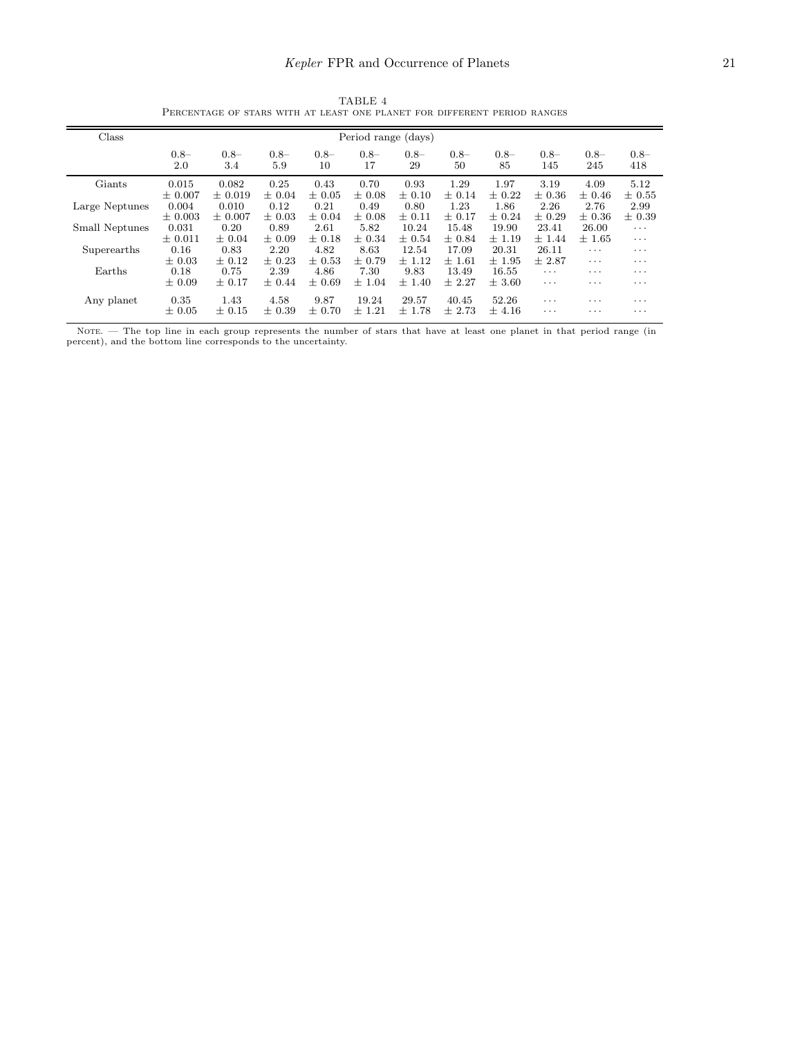# Kepler FPR and Occurrence of Planets 21

TABLE 4 Percentage of stars with at least one planet for different period ranges

<span id="page-20-0"></span>

| Period range (days) |               |                |              |              |              |              |              |                         |               |                |
|---------------------|---------------|----------------|--------------|--------------|--------------|--------------|--------------|-------------------------|---------------|----------------|
| $0.8-$<br>2.0       | $0.8-$<br>3.4 | $0.8 -$<br>5.9 | $0.8-$<br>10 | $0.8-$<br>17 | $0.8-$<br>29 | $0.8-$<br>50 | $0.8-$<br>85 | $0.8 -$<br>145          | $0.8-$<br>245 | $0.8 -$<br>418 |
| 0.015               | 0.082         | 0.25           | 0.43         | 0.70         | 0.93         | 1.29         | 1.97         | 3.19                    | 4.09          | 5.12           |
| $\pm 0.007$         | $\pm 0.019$   | $\pm 0.04$     | $\pm 0.05$   | $\pm 0.08$   | $\pm$ 0.10   | $\pm$ 0.14   | $\pm$ 0.22   | $\pm 0.36$              | $\pm 0.46$    | $\pm 0.55$     |
| 0.004               | 0.010         | 0.12           | 0.21         | 0.49         | 0.80         | 1.23         | 1.86         | 2.26                    | 2.76          | 2.99           |
| $\pm 0.003$         | $\pm 0.007$   | $\pm 0.03$     | $\pm 0.04$   | $+0.08$      | $\pm$ 0.11   | $\pm$ 0.17   | $\pm 0.24$   | $\pm 0.29$              | $\pm 0.36$    | $\pm 0.39$     |
| 0.031               | 0.20          | 0.89           | 2.61         | 5.82         | 10.24        | 15.48        | 19.90        | 23.41                   | 26.00         | $\cdots$       |
| $\pm$ 0.011         | $\pm 0.04$    | $\pm 0.09$     | $\pm$ 0.18   | $\pm$ 0.34   | $\pm 0.54$   | $\pm 0.84$   | $\pm$ 1.19   | ±1.44                   | $\pm$ 1.65    | $\cdots$       |
| 0.16                | 0.83          | 2.20           | 4.82         | 8.63         | 12.54        | 17.09        | 20.31        | 26.11                   | $\cdots$      | $\cdots$       |
| $\pm 0.03$          | $\pm$ 0.12    | $\pm$ 0.23     | $\pm$ 0.53   | $\pm 0.79$   | $\pm$ 1.12   | ±1.61        | $\pm$ 1.95   | ±2.87                   | $\cdots$      | $\cdots$       |
| 0.18                | 0.75          | 2.39           | 4.86         | 7.30         | 9.83         | 13.49        | 16.55        | $\cdots$                | $\cdots$      | .              |
| $\pm 0.09$          | $\pm$ 0.17    | $\pm$ 0.44     | $\pm 0.69$   | $\pm 1.04$   | $\pm$ 1.40   | ± 2.27       | $\pm$ 3.60   | $\cdot$ $\cdot$ $\cdot$ | $\cdots$      | .              |
| 0.35                | 1.43          | 4.58           | 9.87         | 19.24        | 29.57        | 40.45        | 52.26        | $\cdots$                | $\cdots$      | $\cdots$       |
| $\pm 0.05$          | $\pm$ 0.15    | $\pm 0.39$     | $\pm 0.70$   | $\pm$ 1.21   | $\pm$ 1.78   | ± 2.73       | $\pm$ 4.16   | $\cdots$                | $\cdots$      | .              |
|                     |               |                |              |              |              |              |              |                         |               |                |

NOTE. — The top line in each group represents the number of stars that have at least one planet in that period range (in percent), and the bottom line corresponds to the uncertainty.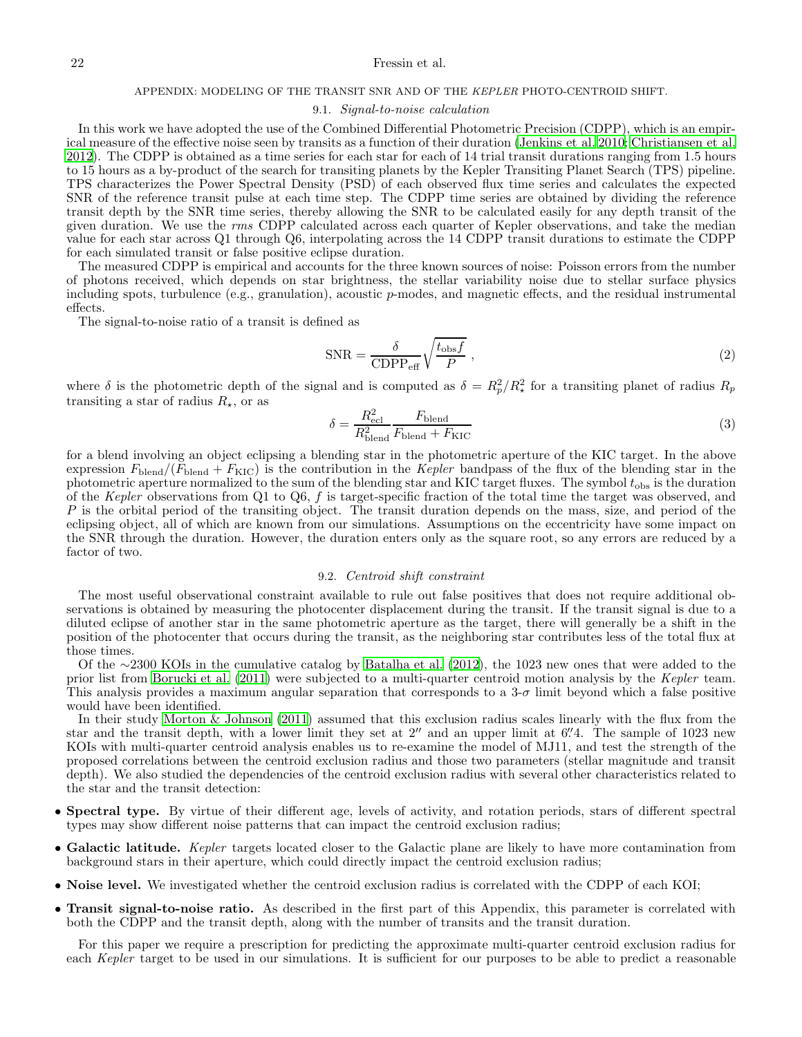## 22 Fressin et al.

## APPENDIX: MODELING OF THE TRANSIT SNR AND OF THE KEPLER PHOTO-CENTROID SHIFT.

### 9.1. Signal-to-noise calculation

In this work we have adopted the use of the Combined Differential Photometric Precision (CDPP), which is an empirical measure of the effective noise seen by transits as a function of their duration [\(Jenkins et al. 2010;](#page-18-31) [Christiansen et al.](#page-17-11) [2012\)](#page-17-11). The CDPP is obtained as a time series for each star for each of 14 trial transit durations ranging from 1.5 hours to 15 hours as a by-product of the search for transiting planets by the Kepler Transiting Planet Search (TPS) pipeline. TPS characterizes the Power Spectral Density (PSD) of each observed flux time series and calculates the expected SNR of the reference transit pulse at each time step. The CDPP time series are obtained by dividing the reference transit depth by the SNR time series, thereby allowing the SNR to be calculated easily for any depth transit of the given duration. We use the rms CDPP calculated across each quarter of Kepler observations, and take the median value for each star across Q1 through Q6, interpolating across the 14 CDPP transit durations to estimate the CDPP for each simulated transit or false positive eclipse duration.

The measured CDPP is empirical and accounts for the three known sources of noise: Poisson errors from the number of photons received, which depends on star brightness, the stellar variability noise due to stellar surface physics including spots, turbulence (e.g., granulation), acoustic  $p$ -modes, and magnetic effects, and the residual instrumental effects.

The signal-to-noise ratio of a transit is defined as

<span id="page-21-0"></span>
$$
SNR = \frac{\delta}{CDPP_{\text{eff}}} \sqrt{\frac{t_{\text{obs}}f}{P}} \,, \tag{2}
$$

where  $\delta$  is the photometric depth of the signal and is computed as  $\delta = R_p^2/R_\star^2$  for a transiting planet of radius  $R_p$ transiting a star of radius  $R_{\star}$ , or as

$$
\delta = \frac{R_{\text{ecl}}^2}{R_{\text{blend}}^2} \frac{F_{\text{blend}}}{F_{\text{blend}} + F_{\text{KIC}}}
$$
(3)

for a blend involving an object eclipsing a blending star in the photometric aperture of the KIC target. In the above expression  $F_{\text{blend}}/(F_{\text{blend}} + F_{\text{KIC}})$  is the contribution in the Kepler bandpass of the flux of the blending star in the photometric aperture normalized to the sum of the blending star and KIC target fluxes. The symbol  $t_{\rm obs}$  is the duration of the Kepler observations from  $Q1$  to  $Q6$ , f is target-specific fraction of the total time the target was observed, and  $P$  is the orbital period of the transiting object. The transit duration depends on the mass, size, and period of the eclipsing object, all of which are known from our simulations. Assumptions on the eccentricity have some impact on the SNR through the duration. However, the duration enters only as the square root, so any errors are reduced by a factor of two.

### 9.2. Centroid shift constraint

The most useful observational constraint available to rule out false positives that does not require additional observations is obtained by measuring the photocenter displacement during the transit. If the transit signal is due to a diluted eclipse of another star in the same photometric aperture as the target, there will generally be a shift in the position of the photocenter that occurs during the transit, as the neighboring star contributes less of the total flux at those times.

Of the ∼2300 KOIs in the cumulative catalog by [Batalha et al. \(2012\)](#page-17-1), the 1023 new ones that were added to the prior list from [Borucki et al. \(2011\)](#page-17-0) were subjected to a multi-quarter centroid motion analysis by the Kepler team. This analysis provides a maximum angular separation that corresponds to a  $3-\sigma$  limit beyond which a false positive would have been identified.

In their study [Morton & Johnson \(2011\)](#page-18-3) assumed that this exclusion radius scales linearly with the flux from the star and the transit depth, with a lower limit they set at  $2''$  and an upper limit at  $6''$ . The sample of 1023 new KOIs with multi-quarter centroid analysis enables us to re-examine the model of MJ11, and test the strength of the proposed correlations between the centroid exclusion radius and those two parameters (stellar magnitude and transit depth). We also studied the dependencies of the centroid exclusion radius with several other characteristics related to the star and the transit detection:

- Spectral type. By virtue of their different age, levels of activity, and rotation periods, stars of different spectral types may show different noise patterns that can impact the centroid exclusion radius;
- Galactic latitude. Kepler targets located closer to the Galactic plane are likely to have more contamination from background stars in their aperture, which could directly impact the centroid exclusion radius;
- Noise level. We investigated whether the centroid exclusion radius is correlated with the CDPP of each KOI;
- Transit signal-to-noise ratio. As described in the first part of this Appendix, this parameter is correlated with both the CDPP and the transit depth, along with the number of transits and the transit duration.

For this paper we require a prescription for predicting the approximate multi-quarter centroid exclusion radius for each Kepler target to be used in our simulations. It is sufficient for our purposes to be able to predict a reasonable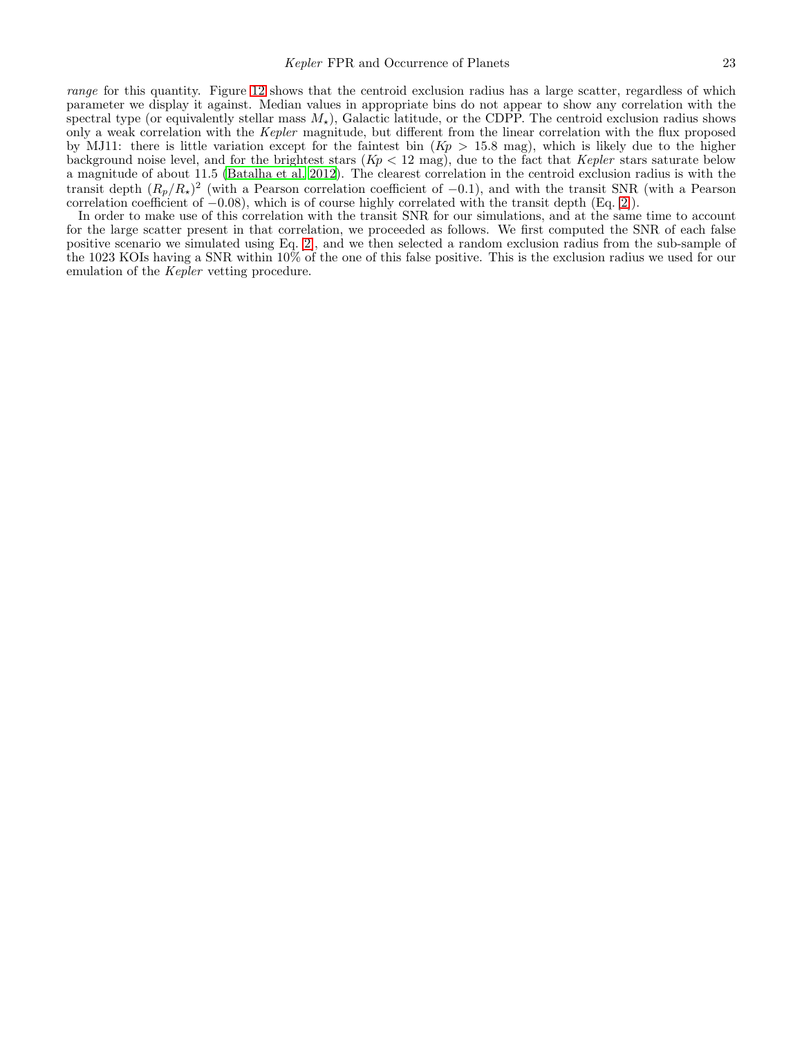range for this quantity. Figure [12](#page-23-0) shows that the centroid exclusion radius has a large scatter, regardless of which parameter we display it against. Median values in appropriate bins do not appear to show any correlation with the spectral type (or equivalently stellar mass  $M_{\star}$ ), Galactic latitude, or the CDPP. The centroid exclusion radius shows only a weak correlation with the Kepler magnitude, but different from the linear correlation with the flux proposed by MJ11: there is little variation except for the faintest bin  $(Kp > 15.8 \text{ mag})$ , which is likely due to the higher background noise level, and for the brightest stars  $(Kp < 12 \text{ mag})$ , due to the fact that Kepler stars saturate below a magnitude of about 11.5 [\(Batalha et al. 2012\)](#page-17-1). The clearest correlation in the centroid exclusion radius is with the transit depth  $(R_p/R_\star)^2$  (with a Pearson correlation coefficient of -0.1), and with the transit SNR (with a Pearson correlation coefficient of −0.08), which is of course highly correlated with the transit depth (Eq. [\[2\]](#page-21-0)).

In order to make use of this correlation with the transit SNR for our simulations, and at the same time to account for the large scatter present in that correlation, we proceeded as follows. We first computed the SNR of each false positive scenario we simulated using Eq. [\[2\]](#page-21-0), and we then selected a random exclusion radius from the sub-sample of the 1023 KOIs having a SNR within 10% of the one of this false positive. This is the exclusion radius we used for our emulation of the *Kepler* vetting procedure.